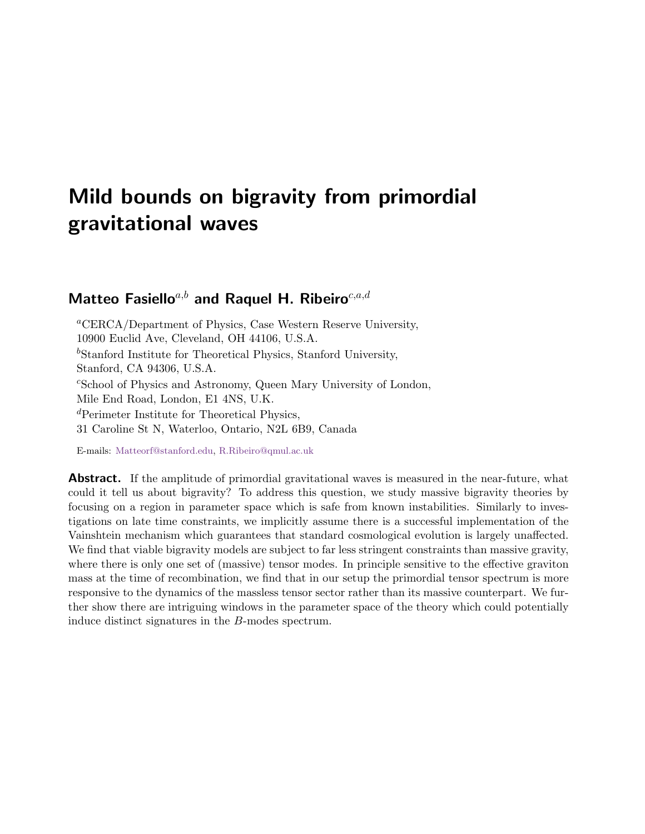# <span id="page-0-0"></span>Mild bounds on bigravity from primordial gravitational waves

# Matteo Fasiello<sup>a,b</sup> and Raquel H. Ribeiro<sup>c,a,d</sup>

<sup>a</sup>CERCA/Department of Physics, Case Western Reserve University, 10900 Euclid Ave, Cleveland, OH 44106, U.S.A.  ${}^b$ Stanford Institute for Theoretical Physics, Stanford University, Stanford, CA 94306, U.S.A. <sup>c</sup>School of Physics and Astronomy, Queen Mary University of London, Mile End Road, London, E1 4NS, U.K. <sup>d</sup>Perimeter Institute for Theoretical Physics, 31 Caroline St N, Waterloo, Ontario, N2L 6B9, Canada

E-mails: [Matteorf@stanford.edu,](mailto:Matteorf@stanford.edu) [R.Ribeiro@qmul.ac.uk](mailto:R.Ribeiro@qmul.ac.uk)

**Abstract.** If the amplitude of primordial gravitational waves is measured in the near-future, what could it tell us about bigravity? To address this question, we study massive bigravity theories by focusing on a region in parameter space which is safe from known instabilities. Similarly to investigations on late time constraints, we implicitly assume there is a successful implementation of the Vainshtein mechanism which guarantees that standard cosmological evolution is largely unaffected. We find that viable bigravity models are subject to far less stringent constraints than massive gravity, where there is only one set of (massive) tensor modes. In principle sensitive to the effective graviton mass at the time of recombination, we find that in our setup the primordial tensor spectrum is more responsive to the dynamics of the massless tensor sector rather than its massive counterpart. We further show there are intriguing windows in the parameter space of the theory which could potentially induce distinct signatures in the B-modes spectrum.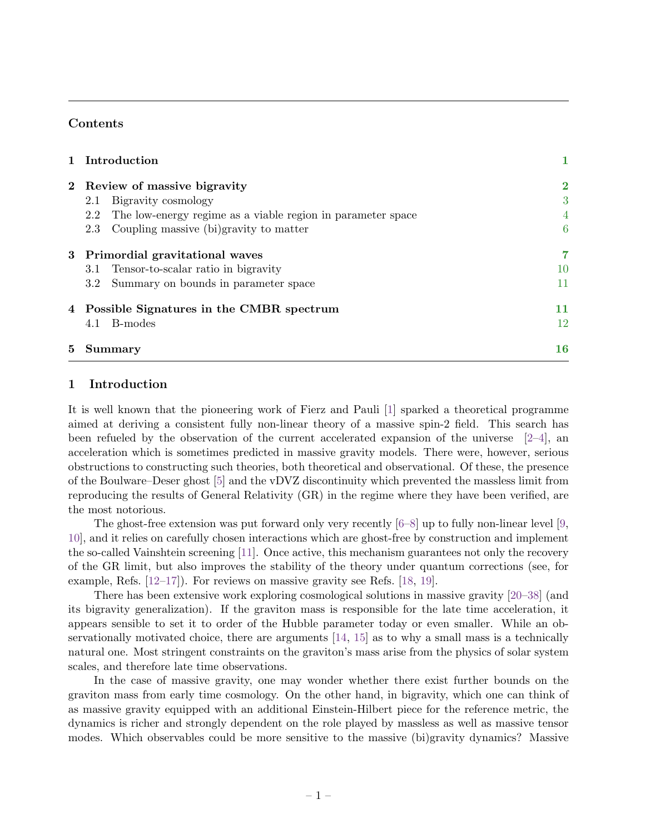# Contents

|   | 1 Introduction                                                     | 1        |
|---|--------------------------------------------------------------------|----------|
|   | 2 Review of massive bigravity                                      | $\bf{2}$ |
|   | Bigravity cosmology<br>2.1                                         | 3        |
|   | The low-energy regime as a viable region in parameter space<br>2.2 | 4        |
|   | Coupling massive (bi)gravity to matter<br>2.3                      | 6        |
|   | 3 Primordial gravitational waves                                   | 7        |
|   | Tensor-to-scalar ratio in bigravity<br>3.1                         | 10       |
|   | Summary on bounds in parameter space<br>$3.2\,$                    | 11       |
|   | 4 Possible Signatures in the CMBR spectrum                         | 11       |
|   | B-modes<br>4.1                                                     | 12       |
| 5 | Summary                                                            | 16       |

## <span id="page-1-0"></span>1 Introduction

It is well known that the pioneering work of Fierz and Pauli [\[1\]](#page-18-0) sparked a theoretical programme aimed at deriving a consistent fully non-linear theory of a massive spin-2 field. This search has been refueled by the observation of the current accelerated expansion of the universe  $[2-4]$  $[2-4]$ , and acceleration which is sometimes predicted in massive gravity models. There were, however, serious obstructions to constructing such theories, both theoretical and observational. Of these, the presence of the Boulware–Deser ghost [\[5\]](#page-18-3) and the vDVZ discontinuity which prevented the massless limit from reproducing the results of General Relativity (GR) in the regime where they have been verified, are the most notorious.

The ghost-free extension was put forward only very recently  $[6-8]$  $[6-8]$  up to fully non-linear level  $[9,$ [10\]](#page-18-7), and it relies on carefully chosen interactions which are ghost-free by construction and implement the so-called Vainshtein screening [\[11\]](#page-18-8). Once active, this mechanism guarantees not only the recovery of the GR limit, but also improves the stability of the theory under quantum corrections (see, for example, Refs.  $[12-17]$  $[12-17]$ . For reviews on massive gravity see Refs. [\[18,](#page-18-11) [19\]](#page-18-12).

There has been extensive work exploring cosmological solutions in massive gravity [\[20–](#page-18-13)[38\]](#page-19-0) (and its bigravity generalization). If the graviton mass is responsible for the late time acceleration, it appears sensible to set it to order of the Hubble parameter today or even smaller. While an observationally motivated choice, there are arguments [\[14,](#page-18-14) [15\]](#page-18-15) as to why a small mass is a technically natural one. Most stringent constraints on the graviton's mass arise from the physics of solar system scales, and therefore late time observations.

In the case of massive gravity, one may wonder whether there exist further bounds on the graviton mass from early time cosmology. On the other hand, in bigravity, which one can think of as massive gravity equipped with an additional Einstein-Hilbert piece for the reference metric, the dynamics is richer and strongly dependent on the role played by massless as well as massive tensor modes. Which observables could be more sensitive to the massive (bi)gravity dynamics? Massive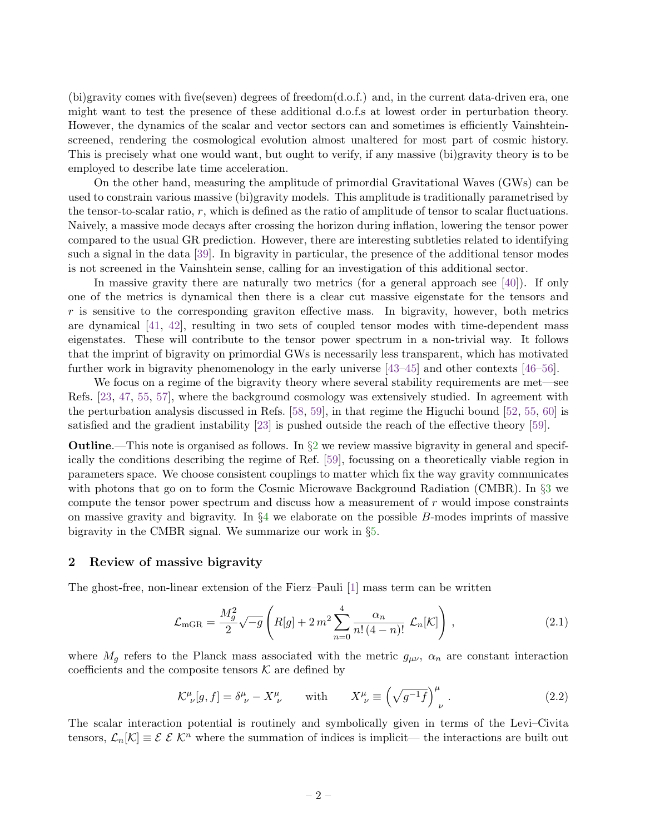(bi)gravity comes with five(seven) degrees of freedom(d.o.f.) and, in the current data-driven era, one might want to test the presence of these additional d.o.f.s at lowest order in perturbation theory. However, the dynamics of the scalar and vector sectors can and sometimes is efficiently Vainshteinscreened, rendering the cosmological evolution almost unaltered for most part of cosmic history. This is precisely what one would want, but ought to verify, if any massive (bi)gravity theory is to be employed to describe late time acceleration.

On the other hand, measuring the amplitude of primordial Gravitational Waves (GWs) can be used to constrain various massive (bi)gravity models. This amplitude is traditionally parametrised by the tensor-to-scalar ratio,  $r$ , which is defined as the ratio of amplitude of tensor to scalar fluctuations. Naively, a massive mode decays after crossing the horizon during inflation, lowering the tensor power compared to the usual GR prediction. However, there are interesting subtleties related to identifying such a signal in the data [\[39\]](#page-19-1). In bigravity in particular, the presence of the additional tensor modes is not screened in the Vainshtein sense, calling for an investigation of this additional sector.

In massive gravity there are naturally two metrics (for a general approach see [\[40\]](#page-19-2)). If only one of the metrics is dynamical then there is a clear cut massive eigenstate for the tensors and  $r$  is sensitive to the corresponding graviton effective mass. In bigravity, however, both metrics are dynamical [\[41,](#page-19-3) [42\]](#page-19-4), resulting in two sets of coupled tensor modes with time-dependent mass eigenstates. These will contribute to the tensor power spectrum in a non-trivial way. It follows that the imprint of bigravity on primordial GWs is necessarily less transparent, which has motivated further work in bigravity phenomenology in the early universe [\[43–](#page-19-5)[45\]](#page-19-6) and other contexts [\[46–](#page-19-7)[56\]](#page-19-8).

We focus on a regime of the bigravity theory where several stability requirements are met—see Refs. [\[23,](#page-18-16) [47,](#page-19-9) [55,](#page-19-10) [57\]](#page-19-11), where the background cosmology was extensively studied. In agreement with the perturbation analysis discussed in Refs. [\[58,](#page-19-12) [59\]](#page-19-13), in that regime the Higuchi bound [\[52,](#page-19-14) [55,](#page-19-10) [60\]](#page-19-15) is satisfied and the gradient instability [\[23\]](#page-18-16) is pushed outside the reach of the effective theory [\[59\]](#page-19-13).

**Outline.**—This note is organised as follows. In  $\S2$  $\S2$  we review massive bigravity in general and specifically the conditions describing the regime of Ref. [\[59\]](#page-19-13), focussing on a theoretically viable region in parameters space. We choose consistent couplings to matter which fix the way gravity communicates with photons that go on to form the Cosmic Microwave Background Radiation (CMBR). In §[3](#page-7-0) we compute the tensor power spectrum and discuss how a measurement of r would impose constraints on massive gravity and bigravity. In  $\S4$  $\S4$  we elaborate on the possible B-modes imprints of massive bigravity in the CMBR signal. We summarize our work in §[5.](#page-16-0)

#### <span id="page-2-0"></span>2 Review of massive bigravity

The ghost-free, non-linear extension of the Fierz–Pauli [\[1\]](#page-18-0) mass term can be written

<span id="page-2-1"></span>
$$
\mathcal{L}_{\text{mGR}} = \frac{M_g^2}{2} \sqrt{-g} \left( R[g] + 2 m^2 \sum_{n=0}^4 \frac{\alpha_n}{n! (4-n)!} \mathcal{L}_n[\mathcal{K}] \right), \tag{2.1}
$$

where  $M_g$  refers to the Planck mass associated with the metric  $g_{\mu\nu}$ ,  $\alpha_n$  are constant interaction coefficients and the composite tensors  $K$  are defined by

$$
\mathcal{K}^{\mu}_{\ \nu}[g,f] = \delta^{\mu}_{\ \nu} - X^{\mu}_{\ \nu} \qquad \text{with} \qquad X^{\mu}_{\ \nu} \equiv \left(\sqrt{g^{-1}f}\right)^{\mu}_{\ \nu} \,. \tag{2.2}
$$

The scalar interaction potential is routinely and symbolically given in terms of the Levi–Civita tensors,  $\mathcal{L}_n[\mathcal{K}] \equiv \mathcal{E} \mathcal{E} \mathcal{K}^n$  where the summation of indices is implicit— the interactions are built out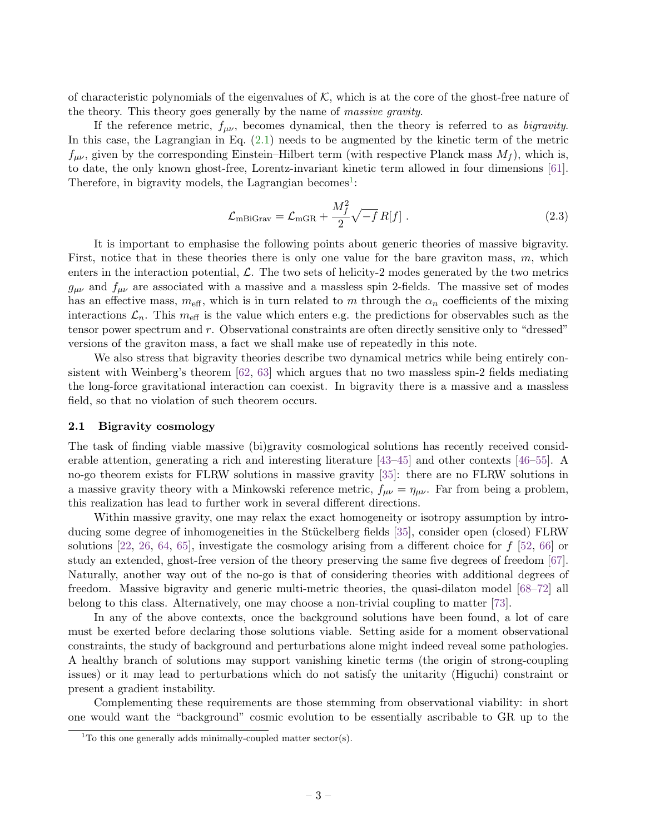of characteristic polynomials of the eigenvalues of  $K$ , which is at the core of the ghost-free nature of the theory. This theory goes generally by the name of *massive gravity*.

If the reference metric,  $f_{\mu\nu}$ , becomes dynamical, then the theory is referred to as *bigravity*. In this case, the Lagrangian in Eq. [\(2.1\)](#page-2-1) needs to be augmented by the kinetic term of the metric  $f_{\mu\nu}$ , given by the corresponding Einstein–Hilbert term (with respective Planck mass  $M_f$ ), which is, to date, the only known ghost-free, Lorentz-invariant kinetic term allowed in four dimensions [\[61\]](#page-19-16). Therefore, in bigravity models, the Lagrangian becomes<sup>[1](#page-0-0)</sup>:

$$
\mathcal{L}_{\text{mBiGraw}} = \mathcal{L}_{\text{mGR}} + \frac{M_f^2}{2} \sqrt{-f} R[f] \tag{2.3}
$$

It is important to emphasise the following points about generic theories of massive bigravity. First, notice that in these theories there is only one value for the bare graviton mass,  $m$ , which enters in the interaction potential,  $\mathcal{L}$ . The two sets of helicity-2 modes generated by the two metrics  $g_{\mu\nu}$  and  $f_{\mu\nu}$  are associated with a massive and a massless spin 2-fields. The massive set of modes has an effective mass,  $m_{\text{eff}}$ , which is in turn related to m through the  $\alpha_n$  coefficients of the mixing interactions  $\mathcal{L}_n$ . This  $m_{\text{eff}}$  is the value which enters e.g. the predictions for observables such as the tensor power spectrum and r. Observational constraints are often directly sensitive only to "dressed" versions of the graviton mass, a fact we shall make use of repeatedly in this note.

We also stress that bigravity theories describe two dynamical metrics while being entirely consistent with Weinberg's theorem [\[62,](#page-19-17) [63\]](#page-19-18) which argues that no two massless spin-2 fields mediating the long-force gravitational interaction can coexist. In bigravity there is a massive and a massless field, so that no violation of such theorem occurs.

#### <span id="page-3-0"></span>2.1 Bigravity cosmology

The task of finding viable massive (bi)gravity cosmological solutions has recently received considerable attention, generating a rich and interesting literature [\[43–](#page-19-5)[45\]](#page-19-6) and other contexts [\[46–](#page-19-7)[55\]](#page-19-10). A no-go theorem exists for FLRW solutions in massive gravity [\[35\]](#page-19-19): there are no FLRW solutions in a massive gravity theory with a Minkowski reference metric,  $f_{\mu\nu} = \eta_{\mu\nu}$ . Far from being a problem, this realization has lead to further work in several different directions.

Within massive gravity, one may relax the exact homogeneity or isotropy assumption by intro-ducing some degree of inhomogeneities in the Stückelberg fields [\[35\]](#page-19-19), consider open (closed) FLRW solutions [\[22,](#page-18-17) [26,](#page-18-18) [64,](#page-20-0) [65\]](#page-20-1), investigate the cosmology arising from a different choice for  $f$  [\[52,](#page-19-14) [66\]](#page-20-2) or study an extended, ghost-free version of the theory preserving the same five degrees of freedom [\[67\]](#page-20-3). Naturally, another way out of the no-go is that of considering theories with additional degrees of freedom. Massive bigravity and generic multi-metric theories, the quasi-dilaton model [\[68–](#page-20-4)[72\]](#page-20-5) all belong to this class. Alternatively, one may choose a non-trivial coupling to matter [\[73\]](#page-20-6).

In any of the above contexts, once the background solutions have been found, a lot of care must be exerted before declaring those solutions viable. Setting aside for a moment observational constraints, the study of background and perturbations alone might indeed reveal some pathologies. A healthy branch of solutions may support vanishing kinetic terms (the origin of strong-coupling issues) or it may lead to perturbations which do not satisfy the unitarity (Higuchi) constraint or present a gradient instability.

Complementing these requirements are those stemming from observational viability: in short one would want the "background" cosmic evolution to be essentially ascribable to GR up to the

<sup>&</sup>lt;sup>1</sup>To this one generally adds minimally-coupled matter sector(s).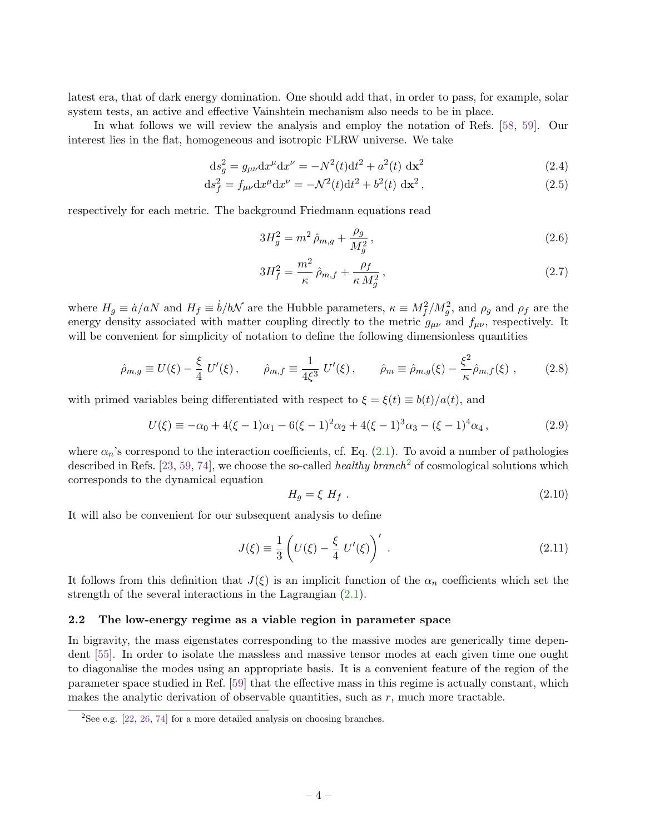latest era, that of dark energy domination. One should add that, in order to pass, for example, solar system tests, an active and effective Vainshtein mechanism also needs to be in place.

In what follows we will review the analysis and employ the notation of Refs. [\[58,](#page-19-12) [59\]](#page-19-13). Our interest lies in the flat, homogeneous and isotropic FLRW universe. We take

$$
ds_g^2 = g_{\mu\nu} dx^{\mu} dx^{\nu} = -N^2(t) dt^2 + a^2(t) dx^2
$$
\n(2.4)

$$
ds_f^2 = f_{\mu\nu} dx^{\mu} dx^{\nu} = -\mathcal{N}^2(t) dt^2 + b^2(t) dx^2,
$$
\n(2.5)

respectively for each metric. The background Friedmann equations read

<span id="page-4-1"></span>
$$
3H_g^2 = m^2 \,\hat{\rho}_{m,g} + \frac{\rho_g}{M_g^2} \,,\tag{2.6}
$$

$$
3H_f^2 = \frac{m^2}{\kappa} \hat{\rho}_{m,f} + \frac{\rho_f}{\kappa M_g^2},\qquad(2.7)
$$

where  $H_g \equiv \dot{a}/aN$  and  $H_f \equiv \dot{b}/bN$  are the Hubble parameters,  $\kappa \equiv M_f^2/M_g^2$ , and  $\rho_g$  and  $\rho_f$  are the energy density associated with matter coupling directly to the metric  $g_{\mu\nu}$  and  $f_{\mu\nu}$ , respectively. It will be convenient for simplicity of notation to define the following dimensionless quantities

$$
\hat{\rho}_{m,g} \equiv U(\xi) - \frac{\xi}{4} U'(\xi) , \qquad \hat{\rho}_{m,f} \equiv \frac{1}{4\xi^3} U'(\xi) , \qquad \hat{\rho}_m \equiv \hat{\rho}_{m,g}(\xi) - \frac{\xi^2}{\kappa} \hat{\rho}_{m,f}(\xi) , \qquad (2.8)
$$

with primed variables being differentiated with respect to  $\xi = \xi(t) \equiv b(t)/a(t)$ , and

<span id="page-4-3"></span>
$$
U(\xi) \equiv -\alpha_0 + 4(\xi - 1)\alpha_1 - 6(\xi - 1)^2 \alpha_2 + 4(\xi - 1)^3 \alpha_3 - (\xi - 1)^4 \alpha_4, \qquad (2.9)
$$

where  $\alpha_n$ 's correspond to the interaction coefficients, cf. Eq. [\(2.1\)](#page-2-1). To avoid a number of pathologies described in Refs. [\[23,](#page-18-16) [59,](#page-19-13) [74\]](#page-20-7), we choose the so-called *healthy branch*<sup>[2](#page-0-0)</sup> of cosmological solutions which corresponds to the dynamical equation

<span id="page-4-2"></span>
$$
H_g = \xi H_f \tag{2.10}
$$

It will also be convenient for our subsequent analysis to define

<span id="page-4-4"></span>
$$
J(\xi) \equiv \frac{1}{3} \left( U(\xi) - \frac{\xi}{4} U'(\xi) \right)' \,. \tag{2.11}
$$

It follows from this definition that  $J(\xi)$  is an implicit function of the  $\alpha_n$  coefficients which set the strength of the several interactions in the Lagrangian  $(2.1)$ .

#### <span id="page-4-0"></span>2.2 The low-energy regime as a viable region in parameter space

In bigravity, the mass eigenstates corresponding to the massive modes are generically time dependent [\[55\]](#page-19-10). In order to isolate the massless and massive tensor modes at each given time one ought to diagonalise the modes using an appropriate basis. It is a convenient feature of the region of the parameter space studied in Ref. [\[59\]](#page-19-13) that the effective mass in this regime is actually constant, which makes the analytic derivation of observable quantities, such as  $r$ , much more tractable.

 $2$ See e.g. [\[22,](#page-18-17) [26,](#page-18-18) [74\]](#page-20-7) for a more detailed analysis on choosing branches.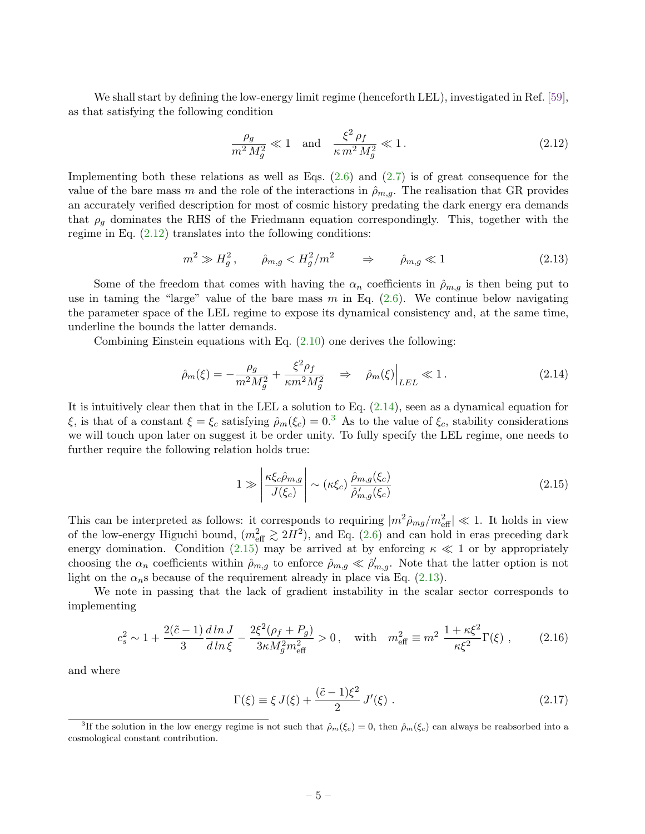We shall start by defining the low-energy limit regime (henceforth LEL), investigated in Ref. [\[59\]](#page-19-13), as that satisfying the following condition

<span id="page-5-0"></span>
$$
\frac{\rho_g}{m^2 M_g^2} \ll 1 \quad \text{and} \quad \frac{\xi^2 \rho_f}{\kappa m^2 M_g^2} \ll 1. \tag{2.12}
$$

Implementing both these relations as well as Eqs. [\(2.6\)](#page-4-1) and [\(2.7\)](#page-4-1) is of great consequence for the value of the bare mass m and the role of the interactions in  $\hat{\rho}_{m,q}$ . The realisation that GR provides an accurately verified description for most of cosmic history predating the dark energy era demands that  $\rho_g$  dominates the RHS of the Friedmann equation correspondingly. This, together with the regime in Eq. [\(2.12\)](#page-5-0) translates into the following conditions:

<span id="page-5-3"></span>
$$
m^2 \gg H_g^2, \qquad \hat{\rho}_{m,g} < H_g^2/m^2 \qquad \Rightarrow \qquad \hat{\rho}_{m,g} \ll 1 \tag{2.13}
$$

Some of the freedom that comes with having the  $\alpha_n$  coefficients in  $\hat{\rho}_{m,q}$  is then being put to use in taming the "large" value of the bare mass  $m$  in Eq. [\(2.6\)](#page-4-1). We continue below navigating the parameter space of the LEL regime to expose its dynamical consistency and, at the same time, underline the bounds the latter demands.

Combining Einstein equations with Eq.  $(2.10)$  one derives the following:

<span id="page-5-1"></span>
$$
\hat{\rho}_m(\xi) = -\frac{\rho_g}{m^2 M_g^2} + \frac{\xi^2 \rho_f}{\kappa m^2 M_g^2} \quad \Rightarrow \quad \hat{\rho}_m(\xi) \Big|_{LEL} \ll 1. \tag{2.14}
$$

It is intuitively clear then that in the LEL a solution to Eq.  $(2.14)$ , seen as a dynamical equation for ξ, is that of a constant  $\xi = \xi_c$  satisfying  $\rho_m(\xi_c) = 0.3$  $\rho_m(\xi_c) = 0.3$  As to the value of  $\xi_c$ , stability considerations we will touch upon later on suggest it be order unity. To fully specify the LEL regime, one needs to further require the following relation holds true:

<span id="page-5-2"></span>
$$
1 \gg \left| \frac{\kappa \xi_c \hat{\rho}_{m,g}}{J(\xi_c)} \right| \sim (\kappa \xi_c) \frac{\hat{\rho}_{m,g}(\xi_c)}{\hat{\rho}'_{m,g}(\xi_c)}
$$
(2.15)

This can be interpreted as follows: it corresponds to requiring  $|m^2 \hat{\rho}_{mg}/m_{\text{eff}}^2| \ll 1$ . It holds in view of the low-energy Higuchi bound,  $(m_{\text{eff}}^2 \gtrsim 2H^2)$ , and Eq. [\(2.6\)](#page-4-1) and can hold in eras preceding dark energy domination. Condition [\(2.15\)](#page-5-2) may be arrived at by enforcing  $\kappa \ll 1$  or by appropriately choosing the  $\alpha_n$  coefficients within  $\hat{\rho}_{m,g}$  to enforce  $\hat{\rho}_{m,g} \ll \hat{\rho}'_{m,g}$ . Note that the latter option is not light on the  $\alpha_n$ s because of the requirement already in place via Eq. [\(2.13\)](#page-5-3).

We note in passing that the lack of gradient instability in the scalar sector corresponds to implementing

$$
c_s^2 \sim 1 + \frac{2(\tilde{c} - 1)}{3} \frac{d \ln J}{d \ln \xi} - \frac{2\xi^2(\rho_f + P_g)}{3\kappa M_g^2 m_{\text{eff}}^2} > 0 \,, \quad \text{with} \quad m_{\text{eff}}^2 \equiv m^2 \frac{1 + \kappa \xi^2}{\kappa \xi^2} \Gamma(\xi) \,, \tag{2.16}
$$

and where

$$
\Gamma(\xi) \equiv \xi \, J(\xi) + \frac{(\tilde{c} - 1)\xi^2}{2} \, J'(\xi) \; . \tag{2.17}
$$

<sup>&</sup>lt;sup>3</sup>If the solution in the low energy regime is not such that  $\hat{\rho}_m(\xi_c) = 0$ , then  $\hat{\rho}_m(\xi_c)$  can always be reabsorbed into a cosmological constant contribution.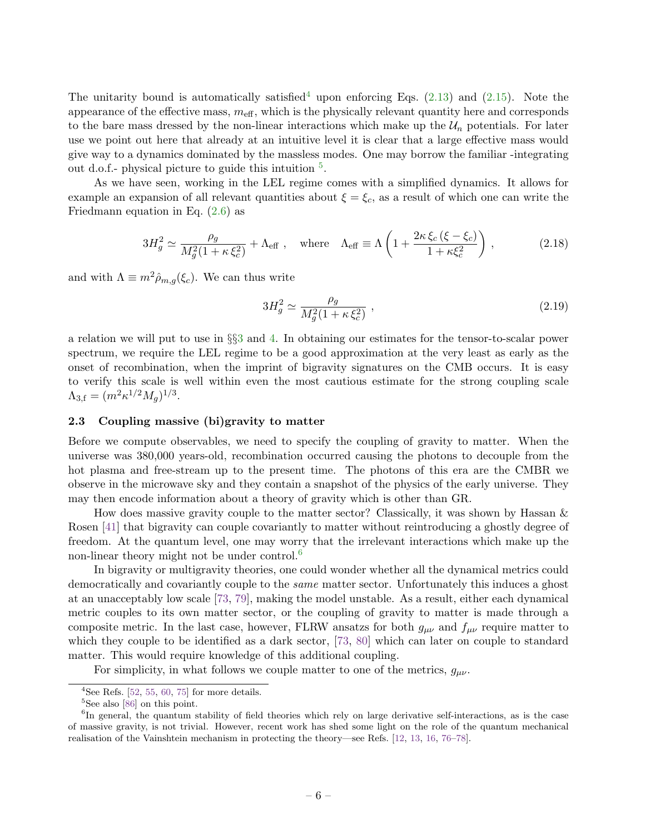The unitarity bound is automatically satisfied<sup>[4](#page-0-0)</sup> upon enforcing Eqs.  $(2.13)$  and  $(2.15)$ . Note the appearance of the effective mass,  $m_{\text{eff}}$ , which is the physically relevant quantity here and corresponds to the bare mass dressed by the non-linear interactions which make up the  $\mathcal{U}_n$  potentials. For later use we point out here that already at an intuitive level it is clear that a large effective mass would give way to a dynamics dominated by the massless modes. One may borrow the familiar -integrating out d.o.f.- physical picture to guide this intuition  $5$ .

As we have seen, working in the LEL regime comes with a simplified dynamics. It allows for example an expansion of all relevant quantities about  $\xi = \xi_c$ , as a result of which one can write the Friedmann equation in Eq.  $(2.6)$  as

$$
3H_g^2 \simeq \frac{\rho_g}{M_g^2(1+\kappa \xi_c^2)} + \Lambda_{\text{eff}} \ , \quad \text{where} \quad \Lambda_{\text{eff}} \equiv \Lambda \left(1 + \frac{2\kappa \xi_c (\xi - \xi_c)}{1 + \kappa \xi_c^2}\right) \ , \tag{2.18}
$$

and with  $\Lambda \equiv m^2 \hat{\rho}_{m,q}(\xi_c)$ . We can thus write

<span id="page-6-1"></span>
$$
3H_g^2 \simeq \frac{\rho_g}{M_g^2(1+\kappa \xi_c^2)}\,,\tag{2.19}
$$

a relation we will put to use in §§[3](#page-7-0) and [4.](#page-11-0) In obtaining our estimates for the tensor-to-scalar power spectrum, we require the LEL regime to be a good approximation at the very least as early as the onset of recombination, when the imprint of bigravity signatures on the CMB occurs. It is easy to verify this scale is well within even the most cautious estimate for the strong coupling scale  $\Lambda_{3,\text{f}} = (m^2 \kappa^{1/2} M_g)^{1/3}.$ 

#### <span id="page-6-0"></span>2.3 Coupling massive (bi)gravity to matter

Before we compute observables, we need to specify the coupling of gravity to matter. When the universe was 380,000 years-old, recombination occurred causing the photons to decouple from the hot plasma and free-stream up to the present time. The photons of this era are the CMBR we observe in the microwave sky and they contain a snapshot of the physics of the early universe. They may then encode information about a theory of gravity which is other than GR.

How does massive gravity couple to the matter sector? Classically, it was shown by Hassan & Rosen [\[41\]](#page-19-3) that bigravity can couple covariantly to matter without reintroducing a ghostly degree of freedom. At the quantum level, one may worry that the irrelevant interactions which make up the non-linear theory might not be under control.<sup>[6](#page-0-0)</sup>

In bigravity or multigravity theories, one could wonder whether all the dynamical metrics could democratically and covariantly couple to the *same* matter sector. Unfortunately this induces a ghost at an unacceptably low scale [\[73,](#page-20-6) [79\]](#page-20-8), making the model unstable. As a result, either each dynamical metric couples to its own matter sector, or the coupling of gravity to matter is made through a composite metric. In the last case, however, FLRW ansatzs for both  $g_{\mu\nu}$  and  $f_{\mu\nu}$  require matter to which they couple to be identified as a dark sector, [\[73,](#page-20-6) [80\]](#page-20-9) which can later on couple to standard matter. This would require knowledge of this additional coupling.

For simplicity, in what follows we couple matter to one of the metrics,  $g_{\mu\nu}$ .

<sup>&</sup>lt;sup>4</sup>See Refs.  $[52, 55, 60, 75]$  $[52, 55, 60, 75]$  $[52, 55, 60, 75]$  $[52, 55, 60, 75]$  $[52, 55, 60, 75]$  $[52, 55, 60, 75]$  $[52, 55, 60, 75]$  for more details.

<sup>&</sup>lt;sup>5</sup>See also [\[86\]](#page-20-11) on this point.

<sup>&</sup>lt;sup>6</sup>In general, the quantum stability of field theories which rely on large derivative self-interactions, as is the case of massive gravity, is not trivial. However, recent work has shed some light on the role of the quantum mechanical realisation of the Vainshtein mechanism in protecting the theory—see Refs. [\[12,](#page-18-9) [13,](#page-18-19) [16,](#page-18-20) [76–](#page-20-12)[78\]](#page-20-13).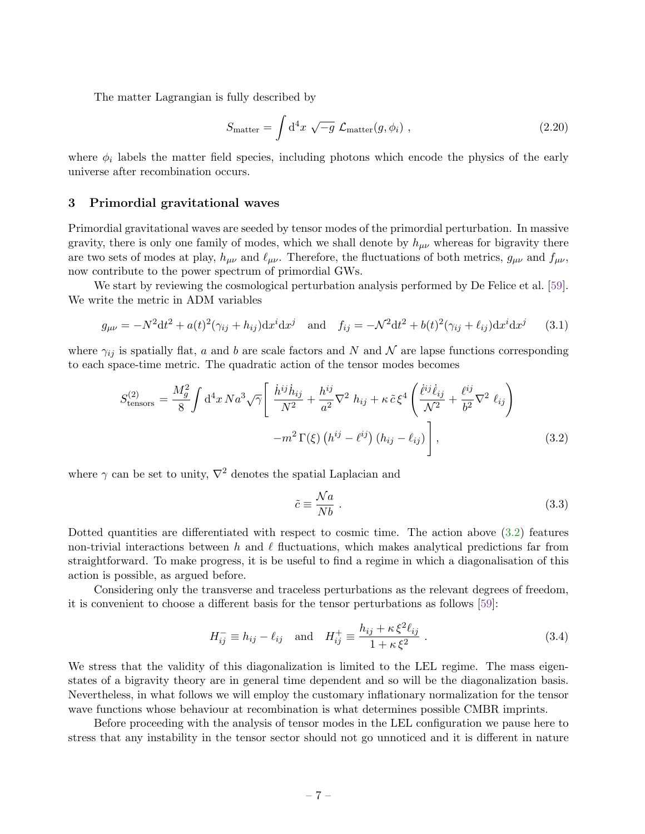The matter Lagrangian is fully described by

<span id="page-7-2"></span>
$$
S_{\text{matter}} = \int d^4x \sqrt{-g} \mathcal{L}_{\text{matter}}(g, \phi_i) , \qquad (2.20)
$$

<span id="page-7-0"></span>where  $\phi_i$  labels the matter field species, including photons which encode the physics of the early universe after recombination occurs.

#### 3 Primordial gravitational waves

Primordial gravitational waves are seeded by tensor modes of the primordial perturbation. In massive gravity, there is only one family of modes, which we shall denote by  $h_{\mu\nu}$  whereas for bigravity there are two sets of modes at play,  $h_{\mu\nu}$  and  $\ell_{\mu\nu}$ . Therefore, the fluctuations of both metrics,  $g_{\mu\nu}$  and  $f_{\mu\nu}$ , now contribute to the power spectrum of primordial GWs.

We start by reviewing the cosmological perturbation analysis performed by De Felice et al. [\[59\]](#page-19-13). We write the metric in ADM variables

$$
g_{\mu\nu} = -N^2 dt^2 + a(t)^2 (\gamma_{ij} + h_{ij}) dx^i dx^j \quad \text{and} \quad f_{ij} = -N^2 dt^2 + b(t)^2 (\gamma_{ij} + \ell_{ij}) dx^i dx^j \tag{3.1}
$$

where  $\gamma_{ij}$  is spatially flat, a and b are scale factors and N and N are lapse functions corresponding to each space-time metric. The quadratic action of the tensor modes becomes

<span id="page-7-1"></span>
$$
S_{\text{tensors}}^{(2)} = \frac{M_g^2}{8} \int \mathrm{d}^4 x \, Na^3 \sqrt{\gamma} \left[ \frac{\dot{h}^{ij} \dot{h}_{ij}}{N^2} + \frac{h^{ij}}{a^2} \nabla^2 h_{ij} + \kappa \tilde{c} \xi^4 \left( \frac{\dot{\ell}^{ij} \dot{\ell}_{ij}}{N^2} + \frac{\ell^{ij}}{b^2} \nabla^2 \ell_{ij} \right) - m^2 \Gamma(\xi) \left( h^{ij} - \ell^{ij} \right) \left( h_{ij} - \ell_{ij} \right) \right], \tag{3.2}
$$

where  $\gamma$  can be set to unity,  $\nabla^2$  denotes the spatial Laplacian and

$$
\tilde{c} \equiv \frac{\mathcal{N}a}{Nb} \ . \tag{3.3}
$$

Dotted quantities are differentiated with respect to cosmic time. The action above [\(3.2\)](#page-7-1) features non-trivial interactions between h and  $\ell$  fluctuations, which makes analytical predictions far from straightforward. To make progress, it is be useful to find a regime in which a diagonalisation of this action is possible, as argued before.

Considering only the transverse and traceless perturbations as the relevant degrees of freedom, it is convenient to choose a different basis for the tensor perturbations as follows [\[59\]](#page-19-13):

<span id="page-7-3"></span>
$$
H_{ij}^- \equiv h_{ij} - \ell_{ij} \quad \text{and} \quad H_{ij}^+ \equiv \frac{h_{ij} + \kappa \xi^2 \ell_{ij}}{1 + \kappa \xi^2} \ . \tag{3.4}
$$

We stress that the validity of this diagonalization is limited to the LEL regime. The mass eigenstates of a bigravity theory are in general time dependent and so will be the diagonalization basis. Nevertheless, in what follows we will employ the customary inflationary normalization for the tensor wave functions whose behaviour at recombination is what determines possible CMBR imprints.

Before proceeding with the analysis of tensor modes in the LEL configuration we pause here to stress that any instability in the tensor sector should not go unnoticed and it is different in nature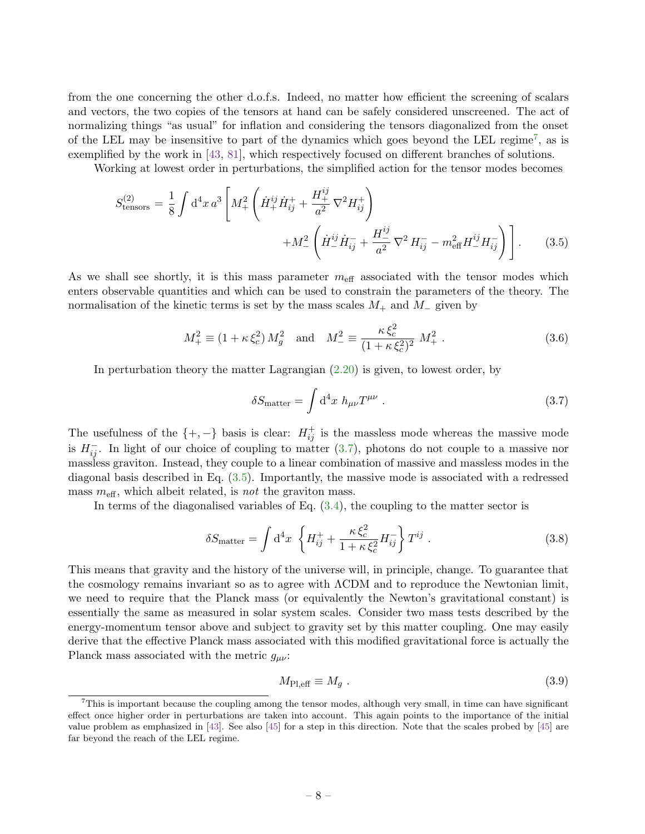from the one concerning the other d.o.f.s. Indeed, no matter how efficient the screening of scalars and vectors, the two copies of the tensors at hand can be safely considered unscreened. The act of normalizing things "as usual" for inflation and considering the tensors diagonalized from the onset of the LEL may be insensitive to part of the dynamics which goes beyond the LEL regime<sup>[7](#page-0-0)</sup>, as is exemplified by the work in [\[43,](#page-19-5) [81\]](#page-20-14), which respectively focused on different branches of solutions.

Working at lowest order in perturbations, the simplified action for the tensor modes becomes

<span id="page-8-1"></span>
$$
S_{\text{tensors}}^{(2)} = \frac{1}{8} \int \mathrm{d}^4 x \, a^3 \left[ M_+^2 \left( \dot{H}_+^{ij} \dot{H}_{ij}^+ + \frac{H_+^{ij}}{a^2} \nabla^2 H_{ij}^+ \right) \right. \\
\left. + M_-^2 \left( \dot{H}_-^{ij} \dot{H}_{ij}^- + \frac{H_-^{ij}}{a^2} \nabla^2 H_{ij}^- - m_{\text{eff}}^2 H_-^{ij} H_{ij}^- \right) \right].\n\tag{3.5}
$$

As we shall see shortly, it is this mass parameter  $m_{\text{eff}}$  associated with the tensor modes which enters observable quantities and which can be used to constrain the parameters of the theory. The normalisation of the kinetic terms is set by the mass scales  $M_+$  and  $M_-$  given by

$$
M_{+}^{2} \equiv (1 + \kappa \xi_{c}^{2}) M_{g}^{2} \quad \text{and} \quad M_{-}^{2} \equiv \frac{\kappa \xi_{c}^{2}}{(1 + \kappa \xi_{c}^{2})^{2}} M_{+}^{2} . \tag{3.6}
$$

In perturbation theory the matter Lagrangian [\(2.20\)](#page-7-2) is given, to lowest order, by

<span id="page-8-0"></span>
$$
\delta S_{\text{matter}} = \int d^4x \ h_{\mu\nu} T^{\mu\nu} \ . \tag{3.7}
$$

The usefulness of the  $\{+,-\}$  basis is clear:  $H_{ij}^+$  is the massless mode whereas the massive mode is  $H_{ij}^-$ . In light of our choice of coupling to matter [\(3.7\)](#page-8-0), photons do not couple to a massive nor massless graviton. Instead, they couple to a linear combination of massive and massless modes in the diagonal basis described in Eq. [\(3.5\)](#page-8-1). Importantly, the massive mode is associated with a redressed mass  $m_{\text{eff}}$ , which albeit related, is *not* the graviton mass.

In terms of the diagonalised variables of Eq.  $(3.4)$ , the coupling to the matter sector is

<span id="page-8-2"></span>
$$
\delta S_{\text{matter}} = \int d^4 x \left\{ H_{ij}^+ + \frac{\kappa \xi_c^2}{1 + \kappa \xi_c^2} H_{ij}^- \right\} T^{ij} \,. \tag{3.8}
$$

This means that gravity and the history of the universe will, in principle, change. To guarantee that the cosmology remains invariant so as to agree with ΛCDM and to reproduce the Newtonian limit, we need to require that the Planck mass (or equivalently the Newton's gravitational constant) is essentially the same as measured in solar system scales. Consider two mass tests described by the energy-momentum tensor above and subject to gravity set by this matter coupling. One may easily derive that the effective Planck mass associated with this modified gravitational force is actually the Planck mass associated with the metric  $g_{\mu\nu}$ :

$$
M_{\rm Pl,eff} \equiv M_g \tag{3.9}
$$

 $7$ This is important because the coupling among the tensor modes, although very small, in time can have significant effect once higher order in perturbations are taken into account. This again points to the importance of the initial value problem as emphasized in [\[43\]](#page-19-5). See also [\[45\]](#page-19-6) for a step in this direction. Note that the scales probed by [\[45\]](#page-19-6) are far beyond the reach of the LEL regime.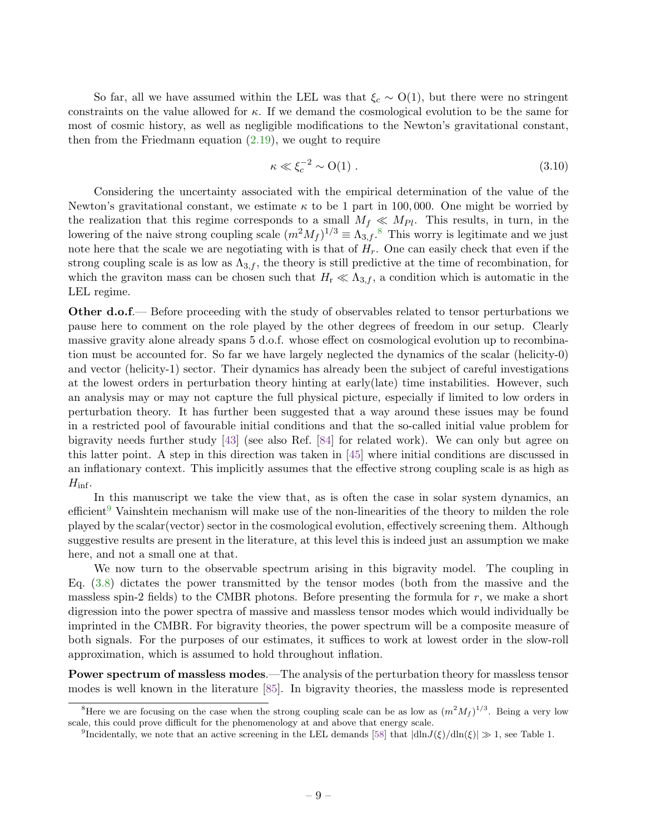So far, all we have assumed within the LEL was that  $\xi_c \sim O(1)$ , but there were no stringent constraints on the value allowed for  $\kappa$ . If we demand the cosmological evolution to be the same for most of cosmic history, as well as negligible modifications to the Newton's gravitational constant, then from the Friedmann equation  $(2.19)$ , we ought to require

$$
\kappa \ll \xi_c^{-2} \sim O(1) \tag{3.10}
$$

Considering the uncertainty associated with the empirical determination of the value of the Newton's gravitational constant, we estimate  $\kappa$  to be 1 part in 100,000. One might be worried by the realization that this regime corresponds to a small  $M_f \ll M_{Pl}$ . This results, in turn, in the lowering of the naive strong coupling scale  $(m^2M_f)^{1/3} \equiv \Lambda_{3,f}$ .<sup>[8](#page-0-0)</sup> This worry is legitimate and we just note here that the scale we are negotiating with is that of  $H_r$ . One can easily check that even if the strong coupling scale is as low as  $\Lambda_{3,f}$ , the theory is still predictive at the time of recombination, for which the graviton mass can be chosen such that  $H_{\rm r} \ll \Lambda_{3,f}$ , a condition which is automatic in the LEL regime.

**Other d.o.f.**— Before proceeding with the study of observables related to tensor perturbations we pause here to comment on the role played by the other degrees of freedom in our setup. Clearly massive gravity alone already spans 5 d.o.f. whose effect on cosmological evolution up to recombination must be accounted for. So far we have largely neglected the dynamics of the scalar (helicity-0) and vector (helicity-1) sector. Their dynamics has already been the subject of careful investigations at the lowest orders in perturbation theory hinting at early(late) time instabilities. However, such an analysis may or may not capture the full physical picture, especially if limited to low orders in perturbation theory. It has further been suggested that a way around these issues may be found in a restricted pool of favourable initial conditions and that the so-called initial value problem for bigravity needs further study [\[43\]](#page-19-5) (see also Ref. [\[84\]](#page-20-15) for related work). We can only but agree on this latter point. A step in this direction was taken in [\[45\]](#page-19-6) where initial conditions are discussed in an inflationary context. This implicitly assumes that the effective strong coupling scale is as high as  $H_{\rm inf}$ .

In this manuscript we take the view that, as is often the case in solar system dynamics, an efficient<sup>[9](#page-0-0)</sup> Vainshtein mechanism will make use of the non-linearities of the theory to milden the role played by the scalar(vector) sector in the cosmological evolution, effectively screening them. Although suggestive results are present in the literature, at this level this is indeed just an assumption we make here, and not a small one at that.

We now turn to the observable spectrum arising in this bigravity model. The coupling in Eq. [\(3.8\)](#page-8-2) dictates the power transmitted by the tensor modes (both from the massive and the massless spin-2 fields) to the CMBR photons. Before presenting the formula for r, we make a short digression into the power spectra of massive and massless tensor modes which would individually be imprinted in the CMBR. For bigravity theories, the power spectrum will be a composite measure of both signals. For the purposes of our estimates, it suffices to work at lowest order in the slow-roll approximation, which is assumed to hold throughout inflation.

Power spectrum of massless modes.—The analysis of the perturbation theory for massless tensor modes is well known in the literature [\[85\]](#page-20-16). In bigravity theories, the massless mode is represented

<sup>&</sup>lt;sup>8</sup>Here we are focusing on the case when the strong coupling scale can be as low as  $(m^2M_f)^{1/3}$ . Being a very low scale, this could prove difficult for the phenomenology at and above that energy scale.

<sup>&</sup>lt;sup>9</sup>Incidentally, we note that an active screening in the LEL demands [\[58\]](#page-19-12) that  $|dln J(\xi)/dln(\xi)| \gg 1$ , see Table 1.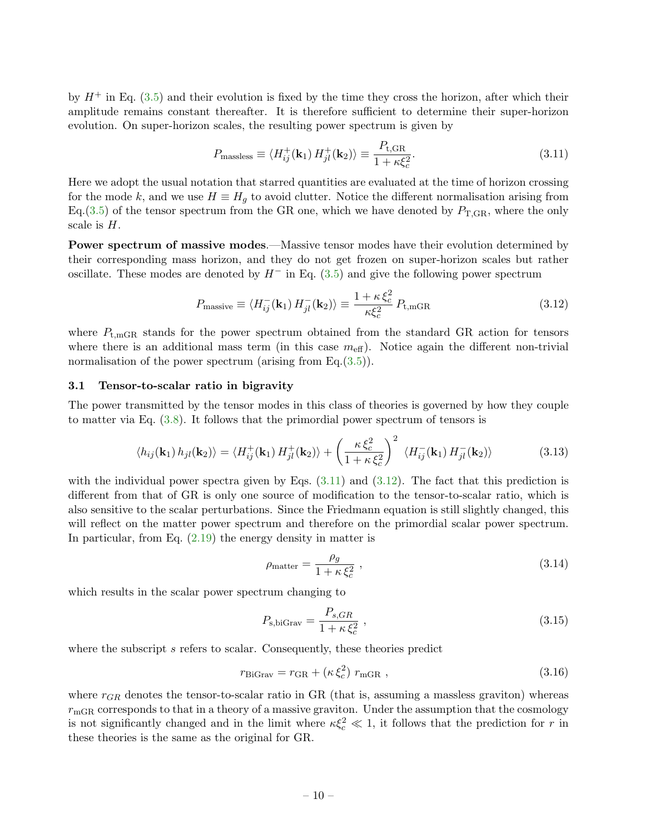by  $H^+$  in Eq. [\(3.5\)](#page-8-1) and their evolution is fixed by the time they cross the horizon, after which their amplitude remains constant thereafter. It is therefore sufficient to determine their super-horizon evolution. On super-horizon scales, the resulting power spectrum is given by

<span id="page-10-2"></span>
$$
P_{\text{massless}} \equiv \langle H_{ij}^+(\mathbf{k}_1) H_{jl}^+(\mathbf{k}_2) \rangle \equiv \frac{P_{\text{t,GR}}}{1 + \kappa \xi_c^2}.
$$
 (3.11)

Here we adopt the usual notation that starred quantities are evaluated at the time of horizon crossing for the mode k, and we use  $H \equiv H<sub>g</sub>$  to avoid clutter. Notice the different normalisation arising from Eq.[\(3.5\)](#page-8-1) of the tensor spectrum from the GR one, which we have denoted by  $P_{\rm T,GR}$ , where the only scale is  $H$ .

Power spectrum of massive modes.—Massive tensor modes have their evolution determined by their corresponding mass horizon, and they do not get frozen on super-horizon scales but rather oscillate. These modes are denoted by  $H^-$  in Eq. [\(3.5\)](#page-8-1) and give the following power spectrum

<span id="page-10-3"></span>
$$
P_{\text{massive}} \equiv \langle H_{ij}^-(\mathbf{k}_1) H_{jl}^-(\mathbf{k}_2) \rangle \equiv \frac{1 + \kappa \xi_c^2}{\kappa \xi_c^2} P_{\text{t,mGR}} \tag{3.12}
$$

where  $P_{t,mGR}$  stands for the power spectrum obtained from the standard GR action for tensors where there is an additional mass term (in this case  $m_{\text{eff}}$ ). Notice again the different non-trivial normalisation of the power spectrum (arising from Eq.[\(3.5\)](#page-8-1)).

#### <span id="page-10-0"></span>3.1 Tensor-to-scalar ratio in bigravity

The power transmitted by the tensor modes in this class of theories is governed by how they couple to matter via Eq. [\(3.8\)](#page-8-2). It follows that the primordial power spectrum of tensors is

$$
\langle h_{ij}(\mathbf{k}_1) h_{jl}(\mathbf{k}_2) \rangle = \langle H_{ij}^+(\mathbf{k}_1) H_{jl}^+(\mathbf{k}_2) \rangle + \left(\frac{\kappa \, \xi_c^2}{1 + \kappa \, \xi_c^2}\right)^2 \, \langle H_{ij}^-(\mathbf{k}_1) H_{jl}^-(\mathbf{k}_2) \rangle \tag{3.13}
$$

with the individual power spectra given by Eqs.  $(3.11)$  and  $(3.12)$ . The fact that this prediction is different from that of GR is only one source of modification to the tensor-to-scalar ratio, which is also sensitive to the scalar perturbations. Since the Friedmann equation is still slightly changed, this will reflect on the matter power spectrum and therefore on the primordial scalar power spectrum. In particular, from Eq.  $(2.19)$  the energy density in matter is

$$
\rho_{\text{matter}} = \frac{\rho_g}{1 + \kappa \,\xi_c^2} \,, \tag{3.14}
$$

which results in the scalar power spectrum changing to

$$
P_{\rm s,biGraw} = \frac{P_{s,GR}}{1 + \kappa \xi_c^2} \,, \tag{3.15}
$$

where the subscript  $s$  refers to scalar. Consequently, these theories predict

$$
r_{\rm BiGraw} = r_{\rm GR} + (\kappa \,\xi_c^2) \; r_{\rm mGR} \; , \tag{3.16}
$$

<span id="page-10-1"></span>where  $r_{GR}$  denotes the tensor-to-scalar ratio in GR (that is, assuming a massless graviton) whereas  $r_{\text{mGR}}$  corresponds to that in a theory of a massive graviton. Under the assumption that the cosmology is not significantly changed and in the limit where  $\kappa \xi_c^2 \ll 1$ , it follows that the prediction for r in these theories is the same as the original for GR.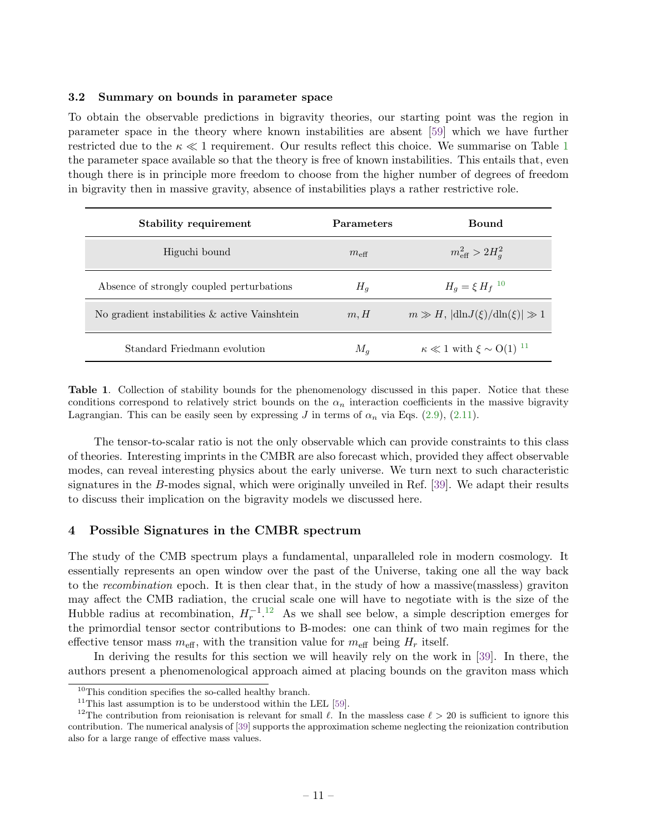#### 3.2 Summary on bounds in parameter space

To obtain the observable predictions in bigravity theories, our starting point was the region in parameter space in the theory where known instabilities are absent [\[59\]](#page-19-13) which we have further restricted due to the  $\kappa \ll 1$  $\kappa \ll 1$  requirement. Our results reflect this choice. We summarise on Table 1 the parameter space available so that the theory is free of known instabilities. This entails that, even though there is in principle more freedom to choose from the higher number of degrees of freedom in bigravity then in massive gravity, absence of instabilities plays a rather restrictive role.

| <b>Stability requirement</b>                     | <b>Parameters</b> | <b>Bound</b>                              |
|--------------------------------------------------|-------------------|-------------------------------------------|
| Higuchi bound                                    | $m_{\text{eff}}$  | $m_{\text{eff}}^2 > 2H_a^2$               |
| Absence of strongly coupled perturbations        | $H_q$             | $H_q = \xi H_f^{-10}$                     |
| No gradient instabilities $\&$ active Vainshtein | m, H              | $m \gg H$ , $ dln J(\xi)/dln(\xi)  \gg 1$ |
| Standard Friedmann evolution                     | $M_a$             | $\kappa \ll 1$ with $\xi \sim O(1)^{-11}$ |

<span id="page-11-1"></span>Table 1. Collection of stability bounds for the phenomenology discussed in this paper. Notice that these conditions correspond to relatively strict bounds on the  $\alpha_n$  interaction coefficients in the massive bigravity Lagrangian. This can be easily seen by expressing J in terms of  $\alpha_n$  via Eqs. [\(2.9\)](#page-4-3), [\(2.11\)](#page-4-4).

The tensor-to-scalar ratio is not the only observable which can provide constraints to this class of theories. Interesting imprints in the CMBR are also forecast which, provided they affect observable modes, can reveal interesting physics about the early universe. We turn next to such characteristic signatures in the B-modes signal, which were originally unveiled in Ref. [\[39\]](#page-19-1). We adapt their results to discuss their implication on the bigravity models we discussed here.

#### <span id="page-11-0"></span>4 Possible Signatures in the CMBR spectrum

The study of the CMB spectrum plays a fundamental, unparalleled role in modern cosmology. It essentially represents an open window over the past of the Universe, taking one all the way back to the recombination epoch. It is then clear that, in the study of how a massive(massless) graviton may affect the CMB radiation, the crucial scale one will have to negotiate with is the size of the Hubble radius at recombination,  $H_r^{-1}$ .<sup>[12](#page-0-0)</sup> As we shall see below, a simple description emerges for the primordial tensor sector contributions to B-modes: one can think of two main regimes for the effective tensor mass  $m_{\text{eff}}$ , with the transition value for  $m_{\text{eff}}$  being  $H_r$  itself.

In deriving the results for this section we will heavily rely on the work in [\[39\]](#page-19-1). In there, the authors present a phenomenological approach aimed at placing bounds on the graviton mass which

<sup>10</sup>This condition specifies the so-called healthy branch.

 $11$ This last assumption is to be understood within the LEL [\[59\]](#page-19-13).

<sup>&</sup>lt;sup>12</sup>The contribution from reionisation is relevant for small  $\ell$ . In the massless case  $\ell > 20$  is sufficient to ignore this contribution. The numerical analysis of [\[39\]](#page-19-1) supports the approximation scheme neglecting the reionization contribution also for a large range of effective mass values.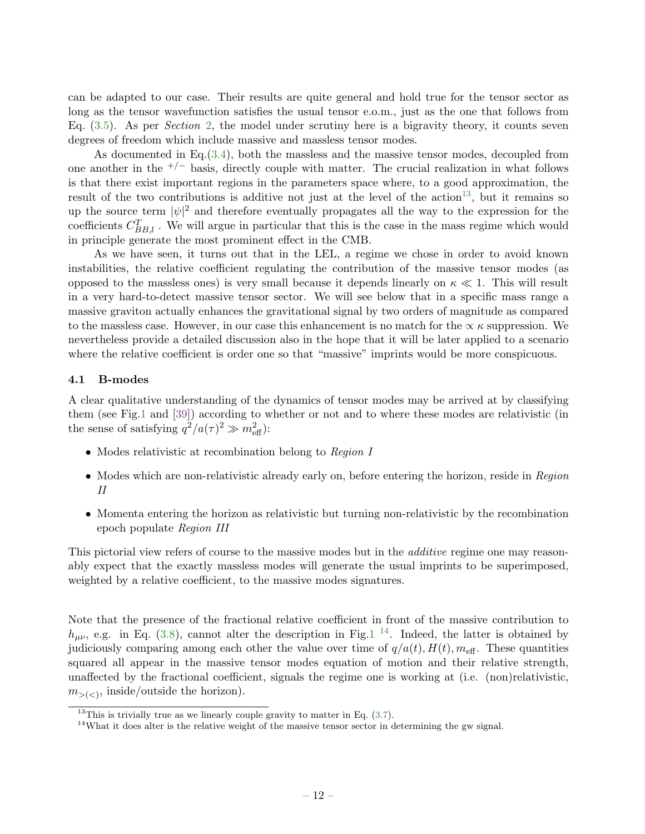can be adapted to our case. Their results are quite general and hold true for the tensor sector as long as the tensor wavefunction satisfies the usual tensor e.o.m., just as the one that follows from Eq.  $(3.5)$ . As per *Section* [2,](#page-2-0) the model under scrutiny here is a bigravity theory, it counts seven degrees of freedom which include massive and massless tensor modes.

As documented in Eq.[\(3.4\)](#page-7-3), both the massless and the massive tensor modes, decoupled from one another in the  $^{+/-}$  basis, directly couple with matter. The crucial realization in what follows is that there exist important regions in the parameters space where, to a good approximation, the result of the two contributions is additive not just at the level of the action<sup>[13](#page-0-0)</sup>, but it remains so up the source term  $|\psi|^2$  and therefore eventually propagates all the way to the expression for the coefficients  $C_{BB,l}^T$ . We will argue in particular that this is the case in the mass regime which would in principle generate the most prominent effect in the CMB.

As we have seen, it turns out that in the LEL, a regime we chose in order to avoid known instabilities, the relative coefficient regulating the contribution of the massive tensor modes (as opposed to the massless ones) is very small because it depends linearly on  $\kappa \ll 1$ . This will result in a very hard-to-detect massive tensor sector. We will see below that in a specific mass range a massive graviton actually enhances the gravitational signal by two orders of magnitude as compared to the massless case. However, in our case this enhancement is no match for the  $\alpha \kappa$  suppression. We nevertheless provide a detailed discussion also in the hope that it will be later applied to a scenario where the relative coefficient is order one so that "massive" imprints would be more conspicuous.

#### <span id="page-12-0"></span>4.1 B-modes

A clear qualitative understanding of the dynamics of tensor modes may be arrived at by classifying them (see Fig[.1](#page-13-0) and [\[39\]](#page-19-1)) according to whether or not and to where these modes are relativistic (in the sense of satisfying  $q^2/a(\tau)^2 \gg m_{\text{eff}}^2$ ):

- Modes relativistic at recombination belong to Region I
- Modes which are non-relativistic already early on, before entering the horizon, reside in Region II
- Momenta entering the horizon as relativistic but turning non-relativistic by the recombination epoch populate Region III

This pictorial view refers of course to the massive modes but in the *additive* regime one may reasonably expect that the exactly massless modes will generate the usual imprints to be superimposed, weighted by a relative coefficient, to the massive modes signatures.

Note that the presence of the fractional relative coefficient in front of the massive contribution to  $h_{\mu\nu}$ , e.g. in Eq. [\(3.8\)](#page-8-2), cannot alter the description in Fig[.1](#page-13-0)<sup>[14](#page-0-0)</sup>. Indeed, the latter is obtained by judiciously comparing among each other the value over time of  $q/a(t)$ ,  $H(t)$ ,  $m_{\text{eff}}$ . These quantities squared all appear in the massive tensor modes equation of motion and their relative strength, unaffected by the fractional coefficient, signals the regime one is working at (i.e. (non)relativistic,  $m_{>(<)}$ , inside/outside the horizon).

<sup>&</sup>lt;sup>13</sup>This is trivially true as we linearly couple gravity to matter in Eq.  $(3.7)$ .

<sup>&</sup>lt;sup>14</sup>What it does alter is the relative weight of the massive tensor sector in determining the gw signal.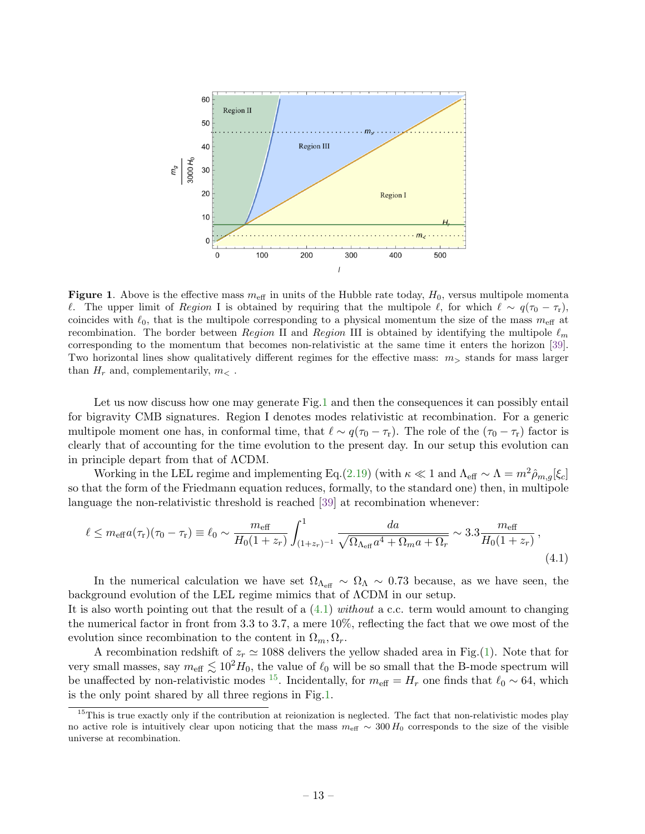

<span id="page-13-0"></span>**Figure 1.** Above is the effective mass  $m_{\text{eff}}$  in units of the Hubble rate today,  $H_0$ , versus multipole momenta *l*. The upper limit of Region I is obtained by requiring that the multipole  $\ell$ , for which  $\ell \sim q(\tau_0 - \tau_r)$ , coincides with  $\ell_0$ , that is the multipole corresponding to a physical momentum the size of the mass  $m_{\text{eff}}$  at recombination. The border between Region II and Region III is obtained by identifying the multipole  $\ell_m$ corresponding to the momentum that becomes non-relativistic at the same time it enters the horizon [\[39\]](#page-19-1). Two horizontal lines show qualitatively different regimes for the effective mass:  $m<sub>></sub>$  stands for mass larger than  $H_r$  and, complementarily,  $m_<$ .

Let us now discuss how one may generate Fig[.1](#page-13-0) and then the consequences it can possibly entail for bigravity CMB signatures. Region I denotes modes relativistic at recombination. For a generic multipole moment one has, in conformal time, that  $\ell \sim q(\tau_0 - \tau_r)$ . The role of the  $(\tau_0 - \tau_r)$  factor is clearly that of accounting for the time evolution to the present day. In our setup this evolution can in principle depart from that of ΛCDM.

Working in the LEL regime and implementing Eq.[\(2.19\)](#page-6-1) (with  $\kappa \ll 1$  and  $\Lambda_{\text{eff}} \sim \Lambda = m^2 \hat{\rho}_{m,q}[\xi_c]$ so that the form of the Friedmann equation reduces, formally, to the standard one) then, in multipole language the non-relativistic threshold is reached [\[39\]](#page-19-1) at recombination whenever:

<span id="page-13-1"></span>
$$
\ell \leq m_{\text{eff}} a(\tau_r)(\tau_0 - \tau_r) \equiv \ell_0 \sim \frac{m_{\text{eff}}}{H_0(1+z_r)} \int_{(1+z_r)^{-1}}^1 \frac{da}{\sqrt{\Omega_{\Lambda_{\text{eff}}} a^4 + \Omega_m a + \Omega_r}} \sim 3.3 \frac{m_{\text{eff}}}{H_0(1+z_r)},
$$
\n(4.1)

In the numerical calculation we have set  $\Omega_{\Lambda_{\text{eff}}} \sim \Omega_{\Lambda} \sim 0.73$  because, as we have seen, the background evolution of the LEL regime mimics that of ΛCDM in our setup.

It is also worth pointing out that the result of a  $(4.1)$  without a c.c. term would amount to changing the numerical factor in front from 3.3 to 3.7, a mere 10%, reflecting the fact that we owe most of the evolution since recombination to the content in  $\Omega_m, \Omega_r$ .

A recombination redshift of  $z_r \approx 1088$  delivers the yellow shaded area in Fig.[\(1\)](#page-13-0). Note that for very small masses, say  $m_{\text{eff}} \lesssim 10^2 H_0$ , the value of  $\ell_0$  will be so small that the B-mode spectrum will be unaffected by non-relativistic modes <sup>[15](#page-0-0)</sup>. Incidentally, for  $m_{\text{eff}} = H_r$  one finds that  $\ell_0 \sim 64$ , which is the only point shared by all three regions in Fig[.1.](#page-13-0)

<sup>&</sup>lt;sup>15</sup>This is true exactly only if the contribution at reionization is neglected. The fact that non-relativistic modes play no active role is intuitively clear upon noticing that the mass  $m_{\text{eff}} \sim 300 \, H_0$  corresponds to the size of the visible universe at recombination.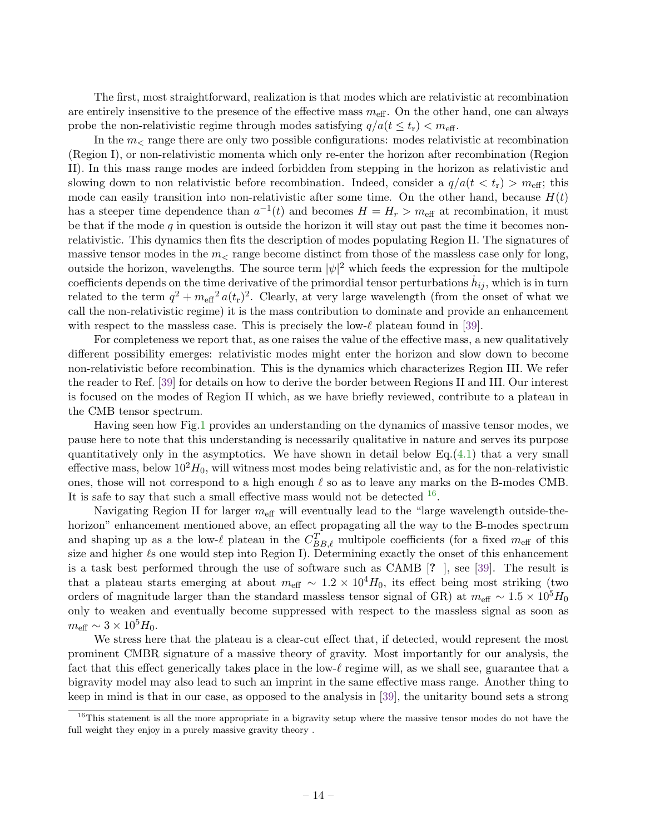The first, most straightforward, realization is that modes which are relativistic at recombination are entirely insensitive to the presence of the effective mass  $m_{\text{eff}}$ . On the other hand, one can always probe the non-relativistic regime through modes satisfying  $q/a(t \leq t_r) < m_{\text{eff}}$ .

In the  $m<sub>z</sub>$  range there are only two possible configurations: modes relativistic at recombination (Region I), or non-relativistic momenta which only re-enter the horizon after recombination (Region II). In this mass range modes are indeed forbidden from stepping in the horizon as relativistic and slowing down to non relativistic before recombination. Indeed, consider a  $q/a(t < t_r) > m_{\text{eff}}$ ; this mode can easily transition into non-relativistic after some time. On the other hand, because  $H(t)$ has a steeper time dependence than  $a^{-1}(t)$  and becomes  $H = H_r > m_{\text{eff}}$  at recombination, it must be that if the mode  $q$  in question is outside the horizon it will stay out past the time it becomes nonrelativistic. This dynamics then fits the description of modes populating Region II. The signatures of massive tensor modes in the  $m<$  range become distinct from those of the massless case only for long, outside the horizon, wavelengths. The source term  $|\psi|^2$  which feeds the expression for the multipole coefficients depends on the time derivative of the primordial tensor perturbations  $\dot{h}_{ij}$ , which is in turn related to the term  $q^2 + m_{\text{eff}}^2 a(t_r)^2$ . Clearly, at very large wavelength (from the onset of what we call the non-relativistic regime) it is the mass contribution to dominate and provide an enhancement with respect to the massless case. This is precisely the low- $\ell$  plateau found in [\[39\]](#page-19-1).

For completeness we report that, as one raises the value of the effective mass, a new qualitatively different possibility emerges: relativistic modes might enter the horizon and slow down to become non-relativistic before recombination. This is the dynamics which characterizes Region III. We refer the reader to Ref. [\[39\]](#page-19-1) for details on how to derive the border between Regions II and III. Our interest is focused on the modes of Region II which, as we have briefly reviewed, contribute to a plateau in the CMB tensor spectrum.

Having seen how Fig[.1](#page-13-0) provides an understanding on the dynamics of massive tensor modes, we pause here to note that this understanding is necessarily qualitative in nature and serves its purpose quantitatively only in the asymptotics. We have shown in detail below  $Eq.(4.1)$  $Eq.(4.1)$  that a very small effective mass, below  $10^2H_0$ , will witness most modes being relativistic and, as for the non-relativistic ones, those will not correspond to a high enough  $\ell$  so as to leave any marks on the B-modes CMB. It is safe to say that such a small effective mass would not be detected  $16$ .

Navigating Region II for larger  $m_{\text{eff}}$  will eventually lead to the "large wavelength outside-thehorizon" enhancement mentioned above, an effect propagating all the way to the B-modes spectrum and shaping up as a the low- $\ell$  plateau in the  $C_{BB,\ell}^T$  multipole coefficients (for a fixed  $m_{\text{eff}}$  of this size and higher  $\ell$ s one would step into Region I). Determining exactly the onset of this enhancement is a task best performed through the use of software such as CAMB [? ], see [\[39\]](#page-19-1). The result is that a plateau starts emerging at about  $m_{\text{eff}} \sim 1.2 \times 10^4 H_0$ , its effect being most striking (two orders of magnitude larger than the standard massless tensor signal of GR) at  $m_{\text{eff}} \sim 1.5 \times 10^5 H_0$ only to weaken and eventually become suppressed with respect to the massless signal as soon as  $m_{\text{eff}} \sim 3 \times 10^5 H_0.$ 

We stress here that the plateau is a clear-cut effect that, if detected, would represent the most prominent CMBR signature of a massive theory of gravity. Most importantly for our analysis, the fact that this effect generically takes place in the low- $\ell$  regime will, as we shall see, guarantee that a bigravity model may also lead to such an imprint in the same effective mass range. Another thing to keep in mind is that in our case, as opposed to the analysis in [\[39\]](#page-19-1), the unitarity bound sets a strong

 $16$ This statement is all the more appropriate in a bigravity setup where the massive tensor modes do not have the full weight they enjoy in a purely massive gravity theory .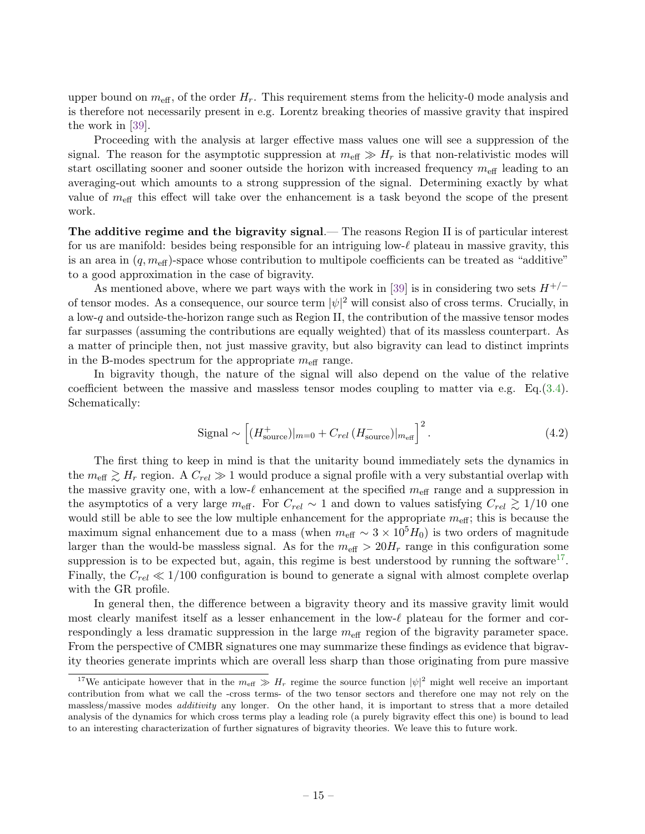upper bound on  $m_{\text{eff}}$ , of the order  $H_r$ . This requirement stems from the helicity-0 mode analysis and is therefore not necessarily present in e.g. Lorentz breaking theories of massive gravity that inspired the work in [\[39\]](#page-19-1).

Proceeding with the analysis at larger effective mass values one will see a suppression of the signal. The reason for the asymptotic suppression at  $m_{\text{eff}} \gg H_r$  is that non-relativistic modes will start oscillating sooner and sooner outside the horizon with increased frequency  $m_{\text{eff}}$  leading to an averaging-out which amounts to a strong suppression of the signal. Determining exactly by what value of  $m<sub>eff</sub>$  this effect will take over the enhancement is a task beyond the scope of the present work.

The additive regime and the bigravity signal.— The reasons Region II is of particular interest for us are manifold: besides being responsible for an intriguing low- $\ell$  plateau in massive gravity, this is an area in  $(q, m_{\text{eff}})$ -space whose contribution to multipole coefficients can be treated as "additive" to a good approximation in the case of bigravity.

As mentioned above, where we part ways with the work in [\[39\]](#page-19-1) is in considering two sets  $H^{+/-}$ of tensor modes. As a consequence, our source term  $|\psi|^2$  will consist also of cross terms. Crucially, in a low-q and outside-the-horizon range such as Region II, the contribution of the massive tensor modes far surpasses (assuming the contributions are equally weighted) that of its massless counterpart. As a matter of principle then, not just massive gravity, but also bigravity can lead to distinct imprints in the B-modes spectrum for the appropriate  $m_{\text{eff}}$  range.

In bigravity though, the nature of the signal will also depend on the value of the relative coefficient between the massive and massless tensor modes coupling to matter via e.g.  $Eq.(3.4)$  $Eq.(3.4)$ . Schematically:

$$
\text{Signal} \sim \left[ (H_{\text{source}}^{+})|_{m=0} + C_{rel} \left( H_{\text{source}}^{-} \right) |_{m_{\text{eff}}} \right]^{2} . \tag{4.2}
$$

The first thing to keep in mind is that the unitarity bound immediately sets the dynamics in the  $m_{\text{eff}} \gtrsim H_r$  region. A  $C_{rel} \gg 1$  would produce a signal profile with a very substantial overlap with the massive gravity one, with a low- $\ell$  enhancement at the specified  $m_{\text{eff}}$  range and a suppression in the asymptotics of a very large  $m_{\text{eff}}$ . For  $C_{rel} \sim 1$  and down to values satisfying  $C_{rel} \geq 1/10$  one would still be able to see the low multiple enhancement for the appropriate  $m_{\text{eff}}$ ; this is because the maximum signal enhancement due to a mass (when  $m_{\text{eff}} \sim 3 \times 10^5 H_0$ ) is two orders of magnitude larger than the would-be massless signal. As for the  $m_{\text{eff}} > 20H_r$  range in this configuration some suppression is to be expected but, again, this regime is best understood by running the software<sup>[17](#page-0-0)</sup>. Finally, the  $C_{rel} \ll 1/100$  configuration is bound to generate a signal with almost complete overlap with the GR profile.

In general then, the difference between a bigravity theory and its massive gravity limit would most clearly manifest itself as a lesser enhancement in the low- $\ell$  plateau for the former and correspondingly a less dramatic suppression in the large  $m_{\text{eff}}$  region of the bigravity parameter space. From the perspective of CMBR signatures one may summarize these findings as evidence that bigravity theories generate imprints which are overall less sharp than those originating from pure massive

<sup>&</sup>lt;sup>17</sup>We anticipate however that in the  $m_{\text{eff}} \gg H_r$  regime the source function  $|\psi|^2$  might well receive an important contribution from what we call the -cross terms- of the two tensor sectors and therefore one may not rely on the massless/massive modes *additivity* any longer. On the other hand, it is important to stress that a more detailed analysis of the dynamics for which cross terms play a leading role (a purely bigravity effect this one) is bound to lead to an interesting characterization of further signatures of bigravity theories. We leave this to future work.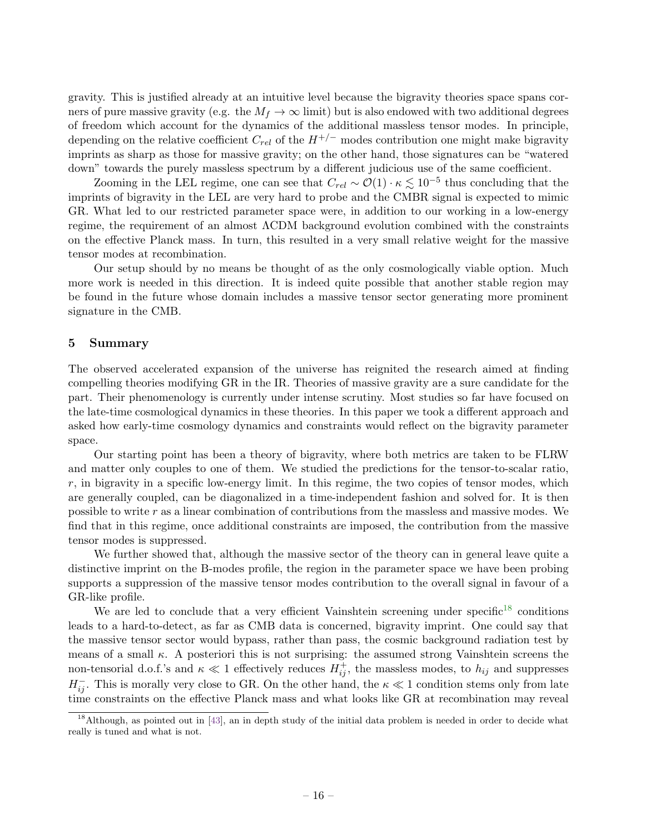gravity. This is justified already at an intuitive level because the bigravity theories space spans corners of pure massive gravity (e.g. the  $M_f \to \infty$  limit) but is also endowed with two additional degrees of freedom which account for the dynamics of the additional massless tensor modes. In principle, depending on the relative coefficient  $C_{rel}$  of the  $H^{+/-}$  modes contribution one might make bigravity imprints as sharp as those for massive gravity; on the other hand, those signatures can be "watered down" towards the purely massless spectrum by a different judicious use of the same coefficient.

Zooming in the LEL regime, one can see that  $C_{rel} \sim \mathcal{O}(1) \cdot \kappa \lesssim 10^{-5}$  thus concluding that the imprints of bigravity in the LEL are very hard to probe and the CMBR signal is expected to mimic GR. What led to our restricted parameter space were, in addition to our working in a low-energy regime, the requirement of an almost ΛCDM background evolution combined with the constraints on the effective Planck mass. In turn, this resulted in a very small relative weight for the massive tensor modes at recombination.

Our setup should by no means be thought of as the only cosmologically viable option. Much more work is needed in this direction. It is indeed quite possible that another stable region may be found in the future whose domain includes a massive tensor sector generating more prominent signature in the CMB.

#### <span id="page-16-0"></span>5 Summary

The observed accelerated expansion of the universe has reignited the research aimed at finding compelling theories modifying GR in the IR. Theories of massive gravity are a sure candidate for the part. Their phenomenology is currently under intense scrutiny. Most studies so far have focused on the late-time cosmological dynamics in these theories. In this paper we took a different approach and asked how early-time cosmology dynamics and constraints would reflect on the bigravity parameter space.

Our starting point has been a theory of bigravity, where both metrics are taken to be FLRW and matter only couples to one of them. We studied the predictions for the tensor-to-scalar ratio,  $r$ , in bigravity in a specific low-energy limit. In this regime, the two copies of tensor modes, which are generally coupled, can be diagonalized in a time-independent fashion and solved for. It is then possible to write r as a linear combination of contributions from the massless and massive modes. We find that in this regime, once additional constraints are imposed, the contribution from the massive tensor modes is suppressed.

We further showed that, although the massive sector of the theory can in general leave quite a distinctive imprint on the B-modes profile, the region in the parameter space we have been probing supports a suppression of the massive tensor modes contribution to the overall signal in favour of a GR-like profile.

We are led to conclude that a very efficient Vainshtein screening under specific<sup>[18](#page-0-0)</sup> conditions leads to a hard-to-detect, as far as CMB data is concerned, bigravity imprint. One could say that the massive tensor sector would bypass, rather than pass, the cosmic background radiation test by means of a small  $\kappa$ . A posteriori this is not surprising: the assumed strong Vainshtein screens the non-tensorial d.o.f.'s and  $\kappa \ll 1$  effectively reduces  $H_{ij}^+$ , the massless modes, to  $h_{ij}$  and suppresses  $H_{ij}^-$ . This is morally very close to GR. On the other hand, the  $\kappa \ll 1$  condition stems only from late time constraints on the effective Planck mass and what looks like GR at recombination may reveal

<sup>&</sup>lt;sup>18</sup>Although, as pointed out in [\[43\]](#page-19-5), an in depth study of the initial data problem is needed in order to decide what really is tuned and what is not.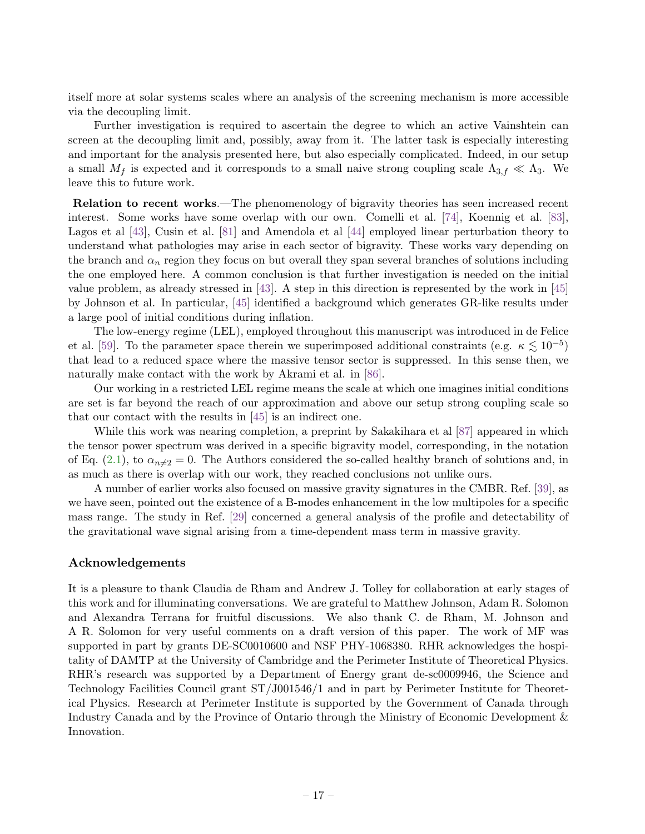itself more at solar systems scales where an analysis of the screening mechanism is more accessible via the decoupling limit.

Further investigation is required to ascertain the degree to which an active Vainshtein can screen at the decoupling limit and, possibly, away from it. The latter task is especially interesting and important for the analysis presented here, but also especially complicated. Indeed, in our setup a small  $M_f$  is expected and it corresponds to a small naive strong coupling scale  $\Lambda_{3,f} \ll \Lambda_3$ . We leave this to future work.

Relation to recent works.—The phenomenology of bigravity theories has seen increased recent interest. Some works have some overlap with our own. Comelli et al. [\[74\]](#page-20-7), Koennig et al. [\[83\]](#page-20-17), Lagos et al [\[43\]](#page-19-5), Cusin et al. [\[81\]](#page-20-14) and Amendola et al [\[44\]](#page-19-20) employed linear perturbation theory to understand what pathologies may arise in each sector of bigravity. These works vary depending on the branch and  $\alpha_n$  region they focus on but overall they span several branches of solutions including the one employed here. A common conclusion is that further investigation is needed on the initial value problem, as already stressed in [\[43\]](#page-19-5). A step in this direction is represented by the work in [\[45\]](#page-19-6) by Johnson et al. In particular, [\[45\]](#page-19-6) identified a background which generates GR-like results under a large pool of initial conditions during inflation.

The low-energy regime (LEL), employed throughout this manuscript was introduced in de Felice et al. [\[59\]](#page-19-13). To the parameter space therein we superimposed additional constraints (e.g.  $\kappa \lesssim 10^{-5}$ ) that lead to a reduced space where the massive tensor sector is suppressed. In this sense then, we naturally make contact with the work by Akrami et al. in [\[86\]](#page-20-11).

Our working in a restricted LEL regime means the scale at which one imagines initial conditions are set is far beyond the reach of our approximation and above our setup strong coupling scale so that our contact with the results in [\[45\]](#page-19-6) is an indirect one.

While this work was nearing completion, a preprint by Sakakihara et al [\[87\]](#page-20-18) appeared in which the tensor power spectrum was derived in a specific bigravity model, corresponding, in the notation of Eq. [\(2.1\)](#page-2-1), to  $\alpha_{n\neq2}=0$ . The Authors considered the so-called healthy branch of solutions and, in as much as there is overlap with our work, they reached conclusions not unlike ours.

A number of earlier works also focused on massive gravity signatures in the CMBR. Ref. [\[39\]](#page-19-1), as we have seen, pointed out the existence of a B-modes enhancement in the low multipoles for a specific mass range. The study in Ref. [\[29\]](#page-18-21) concerned a general analysis of the profile and detectability of the gravitational wave signal arising from a time-dependent mass term in massive gravity.

#### Acknowledgements

It is a pleasure to thank Claudia de Rham and Andrew J. Tolley for collaboration at early stages of this work and for illuminating conversations. We are grateful to Matthew Johnson, Adam R. Solomon and Alexandra Terrana for fruitful discussions. We also thank C. de Rham, M. Johnson and A R. Solomon for very useful comments on a draft version of this paper. The work of MF was supported in part by grants DE-SC0010600 and NSF PHY-1068380. RHR acknowledges the hospitality of DAMTP at the University of Cambridge and the Perimeter Institute of Theoretical Physics. RHR's research was supported by a Department of Energy grant de-sc0009946, the Science and Technology Facilities Council grant ST/J001546/1 and in part by Perimeter Institute for Theoretical Physics. Research at Perimeter Institute is supported by the Government of Canada through Industry Canada and by the Province of Ontario through the Ministry of Economic Development & Innovation.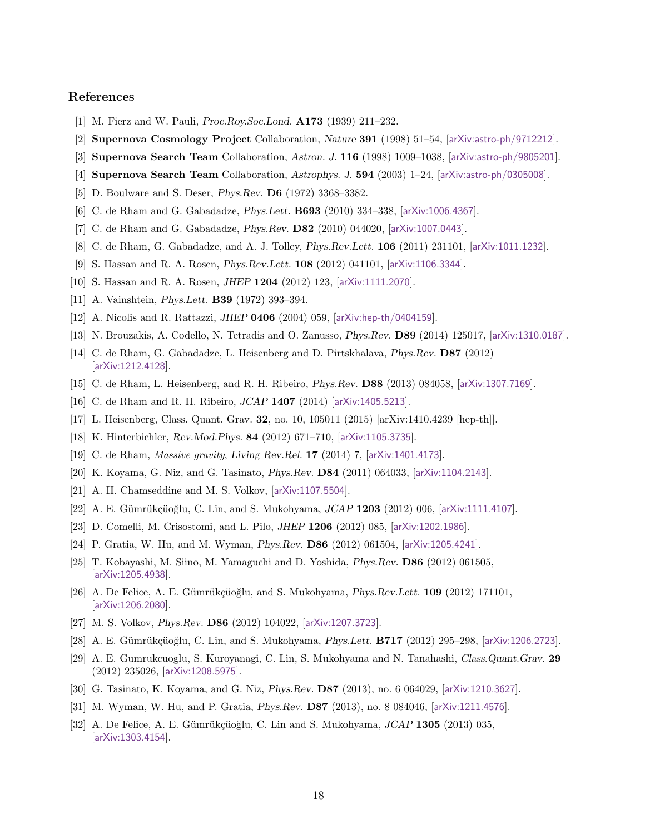### References

- <span id="page-18-0"></span>[1] M. Fierz and W. Pauli, Proc.Roy.Soc.Lond. A173 (1939) 211–232.
- <span id="page-18-1"></span>[2] Supernova Cosmology Project Collaboration, Nature 391 (1998) 51–54, [[arXiv:astro-ph/9712212](http://arxiv.org/abs/astro-ph/9712212)].
- [3] Supernova Search Team Collaboration, Astron. J. 116 (1998) 1009-1038, [[arXiv:astro-ph/9805201](http://arxiv.org/abs/astro-ph/9805201)].
- <span id="page-18-2"></span>[4] Supernova Search Team Collaboration, Astrophys. J. 594 (2003) 1–24, [[arXiv:astro-ph/0305008](http://arxiv.org/abs/astro-ph/0305008)].
- <span id="page-18-3"></span>[5] D. Boulware and S. Deser, Phys.Rev. D6 (1972) 3368–3382.
- <span id="page-18-4"></span>[6] C. de Rham and G. Gabadadze, Phys.Lett. B693 (2010) 334–338, [[arXiv:1006.4367](http://arxiv.org/abs/1006.4367)].
- [7] C. de Rham and G. Gabadadze, Phys.Rev. D82 (2010) 044020, [[arXiv:1007.0443](http://arxiv.org/abs/1007.0443)].
- <span id="page-18-5"></span>[8] C. de Rham, G. Gabadadze, and A. J. Tolley, *Phys.Rev.Lett.* **106** (2011) 231101, [[arXiv:1011.1232](http://arxiv.org/abs/1011.1232)].
- <span id="page-18-6"></span>[9] S. Hassan and R. A. Rosen, Phys.Rev.Lett. 108 (2012) 041101, [[arXiv:1106.3344](http://arxiv.org/abs/1106.3344)].
- <span id="page-18-7"></span>[10] S. Hassan and R. A. Rosen, *JHEP* 1204 (2012) 123, [[arXiv:1111.2070](http://arxiv.org/abs/1111.2070)].
- <span id="page-18-8"></span>[11] A. Vainshtein, Phys.Lett. B39 (1972) 393–394.
- <span id="page-18-9"></span>[12] A. Nicolis and R. Rattazzi, JHEP 0406 (2004) 059, [[arXiv:hep-th/0404159](http://arxiv.org/abs/hep-th/0404159)].
- <span id="page-18-19"></span>[13] N. Brouzakis, A. Codello, N. Tetradis and O. Zanusso, Phys.Rev. D89 (2014) 125017, [[arXiv:1310.0187](http://arxiv.org/abs/1310.0187)].
- <span id="page-18-14"></span>[14] C. de Rham, G. Gabadadze, L. Heisenberg and D. Pirtskhalava, Phys.Rev. D87 (2012) [[arXiv:1212.4128](http://arxiv.org/abs/1212.4128)].
- <span id="page-18-15"></span>[15] C. de Rham, L. Heisenberg, and R. H. Ribeiro, Phys.Rev. D88 (2013) 084058, [[arXiv:1307.7169](http://arxiv.org/abs/1307.7169)].
- <span id="page-18-20"></span>[16] C. de Rham and R. H. Ribeiro, JCAP 1407 (2014) [[arXiv:1405.5213](http://arxiv.org/abs/1405.5213)].
- <span id="page-18-10"></span>[17] L. Heisenberg, Class. Quant. Grav. 32, no. 10, 105011 (2015) [arXiv:1410.4239 [hep-th]].
- <span id="page-18-11"></span>[18] K. Hinterbichler, Rev.Mod.Phys. 84 (2012) 671-710, [[arXiv:1105.3735](http://arxiv.org/abs/1105.3735)].
- <span id="page-18-12"></span>[19] C. de Rham, Massive gravity, Living Rev.Rel. 17 (2014) 7, [[arXiv:1401.4173](http://arxiv.org/abs/1401.4173)].
- <span id="page-18-13"></span>[20] K. Koyama, G. Niz, and G. Tasinato, Phys.Rev. D84 (2011) 064033, [[arXiv:1104.2143](http://arxiv.org/abs/1104.2143)].
- [21] A. H. Chamseddine and M. S. Volkov, [[arXiv:1107.5504](http://arxiv.org/abs/1107.5504)].
- <span id="page-18-17"></span>[22] A. E. Gümrükçüoğlu, C. Lin, and S. Mukohyama, JCAP 1203 (2012) 006, [[arXiv:1111.4107](http://arxiv.org/abs/1111.4107)].
- <span id="page-18-16"></span>[23] D. Comelli, M. Crisostomi, and L. Pilo, JHEP 1206 (2012) 085, [[arXiv:1202.1986](http://arxiv.org/abs/1202.1986)].
- [24] P. Gratia, W. Hu, and M. Wyman, Phys.Rev. D86 (2012) 061504, [[arXiv:1205.4241](http://arxiv.org/abs/1205.4241)].
- [25] T. Kobayashi, M. Siino, M. Yamaguchi and D. Yoshida, Phys.Rev. D86 (2012) 061505, [[arXiv:1205.4938](http://arxiv.org/abs/1205.4938)].
- <span id="page-18-18"></span> $[26]$  A. De Felice, A. E. Gümrükçüoğlu, and S. Mukohyama, Phys.Rev.Lett. 109 (2012) 171101, [[arXiv:1206.2080](http://arxiv.org/abs/1206.2080)].
- [27] M. S. Volkov, Phys.Rev. D86 (2012) 104022, [[arXiv:1207.3723](http://arxiv.org/abs/1207.3723)].
- [28] A. E. Gümrükçüoğlu, C. Lin, and S. Mukohyama, Phys.Lett. **B717** (2012) 295–298, [[arXiv:1206.2723](http://arxiv.org/abs/1206.2723)].
- <span id="page-18-21"></span>[29] A. E. Gumrukcuoglu, S. Kuroyanagi, C. Lin, S. Mukohyama and N. Tanahashi, Class.Quant.Grav. 29 (2012) 235026, [[arXiv:1208.5975](http://arxiv.org/abs/1208.5975)].
- [30] G. Tasinato, K. Koyama, and G. Niz, Phys.Rev. D87 (2013), no. 6 064029, [[arXiv:1210.3627](http://arxiv.org/abs/1210.3627)].
- [31] M. Wyman, W. Hu, and P. Gratia, *Phys.Rev.* **D87** (2013), no. 8 084046, [[arXiv:1211.4576](http://arxiv.org/abs/1211.4576)].
- [32] A. De Felice, A. E. Gümrükçüoğlu, C. Lin and S. Mukohyama, JCAP 1305 (2013) 035, [[arXiv:1303.4154](http://arxiv.org/abs/1303.4154)].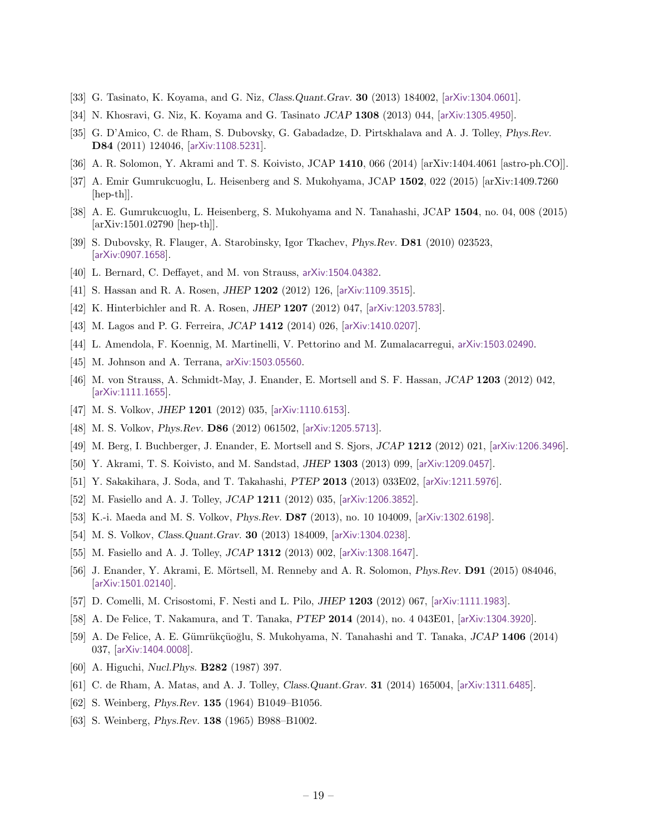- [33] G. Tasinato, K. Koyama, and G. Niz, Class.Quant.Grav. 30 (2013) 184002, [[arXiv:1304.0601](http://arxiv.org/abs/1304.0601)].
- [34] N. Khosravi, G. Niz, K. Koyama and G. Tasinato JCAP 1308 (2013) 044, [[arXiv:1305.4950](http://arxiv.org/abs/1305.4950)].
- <span id="page-19-19"></span>[35] G. D'Amico, C. de Rham, S. Dubovsky, G. Gabadadze, D. Pirtskhalava and A. J. Tolley, Phys.Rev. D84 (2011) 124046, [[arXiv:1108.5231](http://arxiv.org/abs/1108.5231)].
- [36] A. R. Solomon, Y. Akrami and T. S. Koivisto, JCAP 1410, 066 (2014) [arXiv:1404.4061 [astro-ph.CO]].
- [37] A. Emir Gumrukcuoglu, L. Heisenberg and S. Mukohyama, JCAP 1502, 022 (2015) [arXiv:1409.7260  $\vert \text{hep-th} \vert$ .
- <span id="page-19-0"></span>[38] A. E. Gumrukcuoglu, L. Heisenberg, S. Mukohyama and N. Tanahashi, JCAP 1504, no. 04, 008 (2015) [arXiv:1501.02790 [hep-th]].
- <span id="page-19-1"></span>[39] S. Dubovsky, R. Flauger, A. Starobinsky, Igor Tkachev, Phys.Rev. D81 (2010) 023523, [[arXiv:0907.1658](http://arxiv.org/abs/0907.1658)].
- <span id="page-19-2"></span>[40] L. Bernard, C. Deffayet, and M. von Strauss, [arXiv:1504.04382](http://arxiv.org/abs/1504.04382).
- <span id="page-19-3"></span>[41] S. Hassan and R. A. Rosen, *JHEP* 1202 (2012) 126, [[arXiv:1109.3515](http://arxiv.org/abs/1109.3515)].
- <span id="page-19-4"></span>[42] K. Hinterbichler and R. A. Rosen, JHEP 1207 (2012) 047, [[arXiv:1203.5783](http://arxiv.org/abs/1203.5783)].
- <span id="page-19-5"></span>[43] M. Lagos and P. G. Ferreira, JCAP 1412 (2014) 026, [[arXiv:1410.0207](http://arxiv.org/abs/1410.0207)].
- <span id="page-19-20"></span>[44] L. Amendola, F. Koennig, M. Martinelli, V. Pettorino and M. Zumalacarregui, [arXiv:1503.02490](http://arxiv.org/abs/1503.02490).
- <span id="page-19-6"></span>[45] M. Johnson and A. Terrana, [arXiv:1503.05560](http://arxiv.org/abs/1503.05560).
- <span id="page-19-7"></span>[46] M. von Strauss, A. Schmidt-May, J. Enander, E. Mortsell and S. F. Hassan, JCAP 1203 (2012) 042, [[arXiv:1111.1655](http://arxiv.org/abs/1111.1655)].
- <span id="page-19-9"></span>[47] M. S. Volkov, *JHEP* 1201 (2012) 035, [[arXiv:1110.6153](http://arxiv.org/abs/1110.6153)].
- [48] M. S. Volkov, *Phys.Rev.* **D86** (2012) 061502, [[arXiv:1205.5713](http://arxiv.org/abs/1205.5713)].
- [49] M. Berg, I. Buchberger, J. Enander, E. Mortsell and S. Sjors, JCAP 1212 (2012) 021, [[arXiv:1206.3496](http://arxiv.org/abs/1206.3496)].
- [50] Y. Akrami, T. S. Koivisto, and M. Sandstad, JHEP 1303 (2013) 099, [[arXiv:1209.0457](http://arxiv.org/abs/1209.0457)].
- [51] Y. Sakakihara, J. Soda, and T. Takahashi, PTEP 2013 (2013) 033E02, [[arXiv:1211.5976](http://arxiv.org/abs/1211.5976)].
- <span id="page-19-14"></span>[52] M. Fasiello and A. J. Tolley, *JCAP* 1211 (2012) 035, [[arXiv:1206.3852](http://arxiv.org/abs/1206.3852)].
- [53] K.-i. Maeda and M. S. Volkov, Phys.Rev. D87 (2013), no. 10 104009, [[arXiv:1302.6198](http://arxiv.org/abs/1302.6198)].
- [54] M. S. Volkov, Class.Quant.Grav. 30 (2013) 184009, [[arXiv:1304.0238](http://arxiv.org/abs/1304.0238)].
- <span id="page-19-10"></span>[55] M. Fasiello and A. J. Tolley, *JCAP* 1312 (2013) 002, [[arXiv:1308.1647](http://arxiv.org/abs/1308.1647)].
- <span id="page-19-8"></span>[56] J. Enander, Y. Akrami, E. Mörtsell, M. Renneby and A. R. Solomon, *Phys.Rev.* **D91** (2015) 084046, [[arXiv:1501.02140](http://arxiv.org/abs/1501.02140)].
- <span id="page-19-11"></span>[57] D. Comelli, M. Crisostomi, F. Nesti and L. Pilo, *JHEP* 1203 (2012) 067, [[arXiv:1111.1983](http://arxiv.org/abs/1111.1983)].
- <span id="page-19-12"></span>[58] A. De Felice, T. Nakamura, and T. Tanaka, PTEP 2014 (2014), no. 4 043E01, [[arXiv:1304.3920](http://arxiv.org/abs/1304.3920)].
- <span id="page-19-13"></span>[59] A. De Felice, A. E. Gümrükçüoğlu, S. Mukohyama, N. Tanahashi and T. Tanaka, JCAP 1406 (2014) 037, [[arXiv:1404.0008](http://arxiv.org/abs/1404.0008)].
- <span id="page-19-15"></span>[60] A. Higuchi, *Nucl. Phys.* **B282** (1987) 397.
- <span id="page-19-16"></span>[61] C. de Rham, A. Matas, and A. J. Tolley, Class.Quant.Grav. 31 (2014) 165004, [[arXiv:1311.6485](http://arxiv.org/abs/1311.6485)].
- <span id="page-19-17"></span>[62] S. Weinberg, *Phys.Rev.* **135** (1964) B1049-B1056.
- <span id="page-19-18"></span>[63] S. Weinberg, *Phys.Rev.* **138** (1965) B988-B1002.